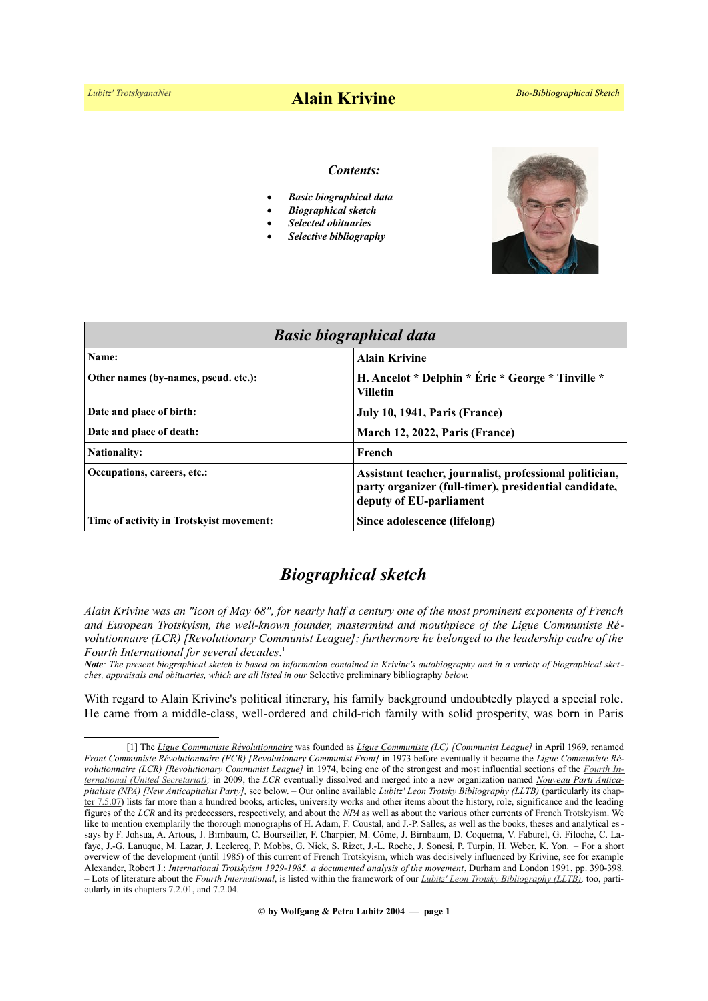#### *Contents:*

- *Basic biographical data*
- *Biographical sketch*
- *Selected obituaries*
- *Selective bibliography*



| <b>Basic biographical data</b>           |                                                                                                                                             |
|------------------------------------------|---------------------------------------------------------------------------------------------------------------------------------------------|
| Name:                                    | <b>Alain Krivine</b>                                                                                                                        |
| Other names (by-names, pseud. etc.):     | H. Ancelot * Delphin * Éric * George * Tinville *<br><b>Villetin</b>                                                                        |
| Date and place of birth:                 | July 10, 1941, Paris (France)                                                                                                               |
| Date and place of death:                 | March 12, 2022, Paris (France)                                                                                                              |
| <b>Nationality:</b>                      | French                                                                                                                                      |
| Occupations, careers, etc.:              | Assistant teacher, journalist, professional politician,<br>party organizer (full-timer), presidential candidate,<br>deputy of EU-parliament |
| Time of activity in Trotskyist movement: | Since adolescence (lifelong)                                                                                                                |

## *Biographical sketch*

*Alain Krivine was an "icon of May 68", for nearly half a century one of the most prominent exponents of French and European Trotskyism, the well-known founder, mastermind and mouthpiece of the Ligue Communiste Révolutionnaire (LCR) [Revolutionary Communist League]; furthermore he belonged to the leadership cadre of the Fourth International for several decades*. [1](#page-0-0)

*Note: The present biographical sketch is based on information contained in Krivine's autobiography and in a variety of biographical sketches, appraisals and obituaries, which are all listed in our* Selective preliminary bibliography *below.*

With regard to Alain Krivine's political itinerary, his family background undoubtedly played a special role. He came from a middle-class, well-ordered and child-rich family with solid prosperity, was born in Paris

**© by Wolfgang & Petra Lubitz 2004 — page 1**

<span id="page-0-0"></span><sup>[1]</sup> The *[Ligue Communiste Révolutionnaire](https://fr.wikipedia.org/wiki/Ligue_communiste_r%C3%A9volutionnaire)* was founded as *[Ligue Communiste](https://fr.wikipedia.org/wiki/Ligue_communiste_(1969)) (LC) [Communist League]* in April 1969, renamed *Front Communiste Révolutionnaire (FCR) [Revolutionary Communist Front]* in 1973 before eventually it became the *Ligue Communiste Révolutionnaire (LCR) [Revolutionary Communist League]* in 1974, being one of the strongest and most influential sections of the *[Fourth In](https://en.wikipedia.org/wiki/Fourth_International_(post-reunification))[ternational \(United Secretariat\);](https://en.wikipedia.org/wiki/Fourth_International_(post-reunification))* in 2009, the *LCR* eventually dissolved and merged into a new organization named *Nouveau Parti Antica [pitaliste](https://fr.wikipedia.org/wiki/Nouveau_Parti_anticapitaliste) (NPA) [New Anticapitalist Party],* see below. – Our online available *[Lubitz' Leon Trotsky Bibliography \(LLTB\)](https://www.trotskyana.net/LubitzBibliographies/Trotsky_Bibliography/Leon_Trotsky_Bibliography.html)* (particularly its [chap](https://www.trotskyana.net/LubitzBibliographies/Trotsky_Bibliography/Leon_Trotsky_Bibliography_07.html#c7.5.07)[ter 7.5.07\)](https://www.trotskyana.net/LubitzBibliographies/Trotsky_Bibliography/Leon_Trotsky_Bibliography_07.html#c7.5.07) lists far more than a hundred books, articles, university works and other items about the history, role, significance and the leading figures of the *LCR* and its predecessors, respectively, and about the *NPA* as well as about the various other currents of [French Trots kyism.](https://fr.wikipedia.org/wiki/Trotskisme_en_France) We like to mention exemplarily the thorough monographs of H. Adam, F. Coustal, and J.-P. Salles, as well as the books, theses and analytical essays by F. Johsua, A. Artous, J. Birnbaum, C. Bourseiller, F. Charpier, M. Côme, J. Birnbaum, D. Coquema, V. Faburel, G. Filoche, C. Lafaye, J.-G. Lanuque, M. Lazar, J. Leclercq, P. Mobbs, G. Nick, S. Rizet, J.-L. Roche, J. Sonesi, P. Turpin, H. Weber, K. Yon. – For a short overview of the development (until 1985) of this current of French Trotskyism, which was decisively influenced by Krivine, see for example Alexander, Robert J.: *International Trotskyism 1929-1985, a documented analysis of the movement*, Durham and London 1991, pp. 390-398. – Lots of literature about the *Fourth International*, is listed within the framework of our *[Lubitz' Leon Trotsky Bibliography \(LLTB\),](https://www.trotskyana.net/LubitzBibliographies/Trotsky_Bibliography/Leon_Trotsky_Bibliography.html)* too, particularly in its [chapters 7.2.01,](https://www.trotskyana.net/LubitzBibliographies/Trotsky_Bibliography/Leon_Trotsky_Bibliography_07.html#c7.2.01) and [7.2.04](https://www.trotskyana.net/LubitzBibliographies/Trotsky_Bibliography/Leon_Trotsky_Bibliography_07.html#c7.2.04)*.*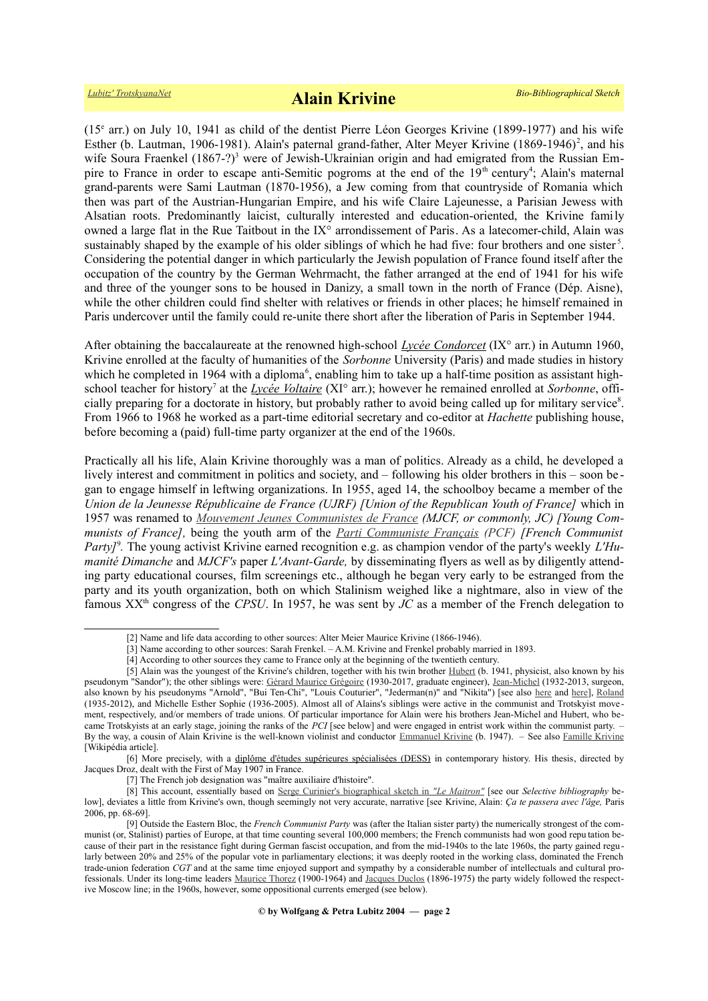(15<sup>e</sup> arr.) on July 10, 1941 as child of the dentist Pierre Léon Georges Krivine (1899-1977) and his wife Esther (b. Lautman, 1906-1981). Alain's paternal grand-father, Alter Meyer Krivine (1869-1946)<sup>[2](#page-1-0)</sup>, and his wife Soura Fraenkel (1867-?)<sup>[3](#page-1-1)</sup> were of Jewish-Ukrainian origin and had emigrated from the Russian Em-pire to France in order to escape anti-Semitic pogroms at the end of the 19<sup>th</sup> century<sup>[4](#page-1-2)</sup>; Alain's maternal grand-parents were Sami Lautman (1870-1956), a Jew coming from that countryside of Romania which then was part of the Austrian-Hungarian Empire, and his wife Claire Lajeunesse, a Parisian Jewess with Alsatian roots. Predominantly laicist, culturally interested and education-oriented, the Krivine family owned a large flat in the Rue Taitbout in the IX° arrondissement of Paris. As a latecomer-child, Alain was sustainably shaped by the example of his older siblings of which he had five: four brothers and one sister<sup>[5](#page-1-3)</sup>. Considering the potential danger in which particularly the Jewish population of France found itself after the occupation of the country by the German Wehrmacht, the father arranged at the end of 1941 for his wife and three of the younger sons to be housed in Danizy, a small town in the north of France (Dép. Aisne), while the other children could find shelter with relatives or friends in other places; he himself remained in Paris undercover until the family could re-unite there short after the liberation of Paris in September 1944.

After obtaining the baccalaureate at the renowned high-school *[Lycée Condorcet](https://fr.wikipedia.org/wiki/Lyc%C3%A9e_Condorcet)* (IX° arr.) in Autumn 1960, Krivine enrolled at the faculty of humanities of the *Sorbonne* University (Paris) and made studies in history which he completed in 19[6](#page-1-4)4 with a diploma<sup>6</sup>, enabling him to take up a half-time position as assistant high-school teacher for history<sup>[7](#page-1-5)</sup> at the *[Lycée Voltaire](https://fr.wikipedia.org/wiki/Lyc%C3%A9e_Voltaire_(Paris))* (XI° arr.); however he remained enrolled at *Sorbonne*, offi-cially preparing for a doctorate in history, but probably rather to avoid being called up for military service<sup>[8](#page-1-6)</sup>. From 1966 to 1968 he worked as a part-time editorial secretary and co-editor at *Hachette* publishing house, before becoming a (paid) full-time party organizer at the end of the 1960s.

Practically all his life, Alain Krivine thoroughly was a man of politics. Already as a child, he developed a lively interest and commitment in politics and society, and – following his older brothers in this – soon be gan to engage himself in leftwing organizations. In 1955, aged 14, the schoolboy became a member of the *Union de la Jeunesse Républicaine de France (UJRF) [Union of the Republican Youth of France]* which in 1957 was renamed to *[Mouvement Jeunes Communistes de France](https://fr.wikipedia.org/wiki/Mouvement_jeunes_communistes_de_France) (MJCF, or commonly, JC) [Young Communists of France],* being the youth arm of the *[Parti Communiste Français \(PCF\)](https://fr.wikipedia.org/wiki/Parti_communiste_fran%C3%A7ais) [French Communist Party]*[9](#page-1-7) *.* The young activist Krivine earned recognition e.g. as champion vendor of the party's weekly *L'Humanité Dimanche* and *MJCF's* paper *L'Avant-Garde,* by disseminating flyers as well as by diligently attending party educational courses, film screenings etc., although he began very early to be estranged from the party and its youth organization, both on which Stalinism weighed like a nightmare, also in view of the famous XXth congress of the *CPSU*. In 1957, he was sent by *JC* as a member of the French delegation to

[6] More precisely, with a [diplôme d'études supérieures spécialisées \(DESS\)](https://fr.wikipedia.org/wiki/Dipl%C3%B4me_d) in contemporary history. His thesis, directed by Jacques Droz, dealt with the First of May 1907 in France.

<span id="page-1-7"></span><span id="page-1-6"></span><span id="page-1-5"></span><span id="page-1-4"></span>[7] The French job designation was "maître auxiliaire d'histoire".

<span id="page-1-0"></span><sup>[2]</sup> Name and life data according to other sources: Alter Meier Maurice Krivine (1866-1946).

<span id="page-1-1"></span><sup>[3]</sup> Name according to other sources: Sarah Frenkel. – A.M. Krivine and Frenkel probably married in 1893.

<span id="page-1-3"></span><span id="page-1-2"></span><sup>[4]</sup> According to other sources they came to France only at the beginning of the twentieth century.

<sup>[5]</sup> Alain was the youngest of the Krivine's children, together with his twin brother [Hubert](https://maitron.fr/spip.php?article137922) (b. 1941, physicist, also known by his pseudonym "Sandor"); the other siblings were: [Gérard Maurice Grégoire](https://maitron.fr/spip.php?article138040) (1930-2017, graduate engineer), [Jean-Michel](https://maitron.fr/spip.php?article137921) (1932-2013, surgeon, also known by his pseudonyms "Arnold", "Bui Ten-Chi", "Louis Couturier", "Jederman(n)" and "Nikita") [see also [here](http://www.inprecor.fr/~170173e7d54671c768363063~/article-Jean-Michel-Krivine-(1932-2013)---chirurgien-militant-et-internationaliste?id=1475) and [here\]](https://internationalviewpoint.org/spip.php?article3037), [Roland](https://maitron.fr/spip.php?article138041) (1935-2012), and Michelle Esther Sophie (1936-2005). Almost all of Alains's siblings were active in the communist and Trotskyist move ment, respectively, and/or members of trade unions. Of particular importance for Alain were his brothers Jean-Michel and Hubert, who became Trotskyists at an early stage, joining the ranks of the *PCI* [see below] and were engaged in entrist work within the communist party. – By the way, a cousin of Alain Krivine is the well-known violinist and conductor [Emmanuel Krivine](https://fr.wikipedia.org/wiki/Emmanuel_Krivine) (b. 1947). – See also [Famille Krivine](https://fr.wikipedia.org/wiki/Famille_Krivine) [Wikipédia article].

<sup>[8]</sup> This account, essentially based on [Serge Curinier's biographical sketch in](https://maitron.fr/spip.php?article136624) *["Le Maitron"](https://maitron.fr/spip.php?article136624)* [see our *Selective bibliography* below], deviates a little from Krivine's own, though seemingly not very accurate, narrative [see Krivine, Alain: *Ça te passera avec l'âge,* Paris 2006, pp. 68-69].

<sup>[9]</sup> Outside the Eastern Bloc, the *French Communist Party* was (after the Italian sister party) the numerically strongest of the communist (or, Stalinist) parties of Europe, at that time counting several 100,000 members; the French communists had won good repu tation because of their part in the resistance fight during German fascist occupation, and from the mid-1940s to the late 1960s, the party gained regularly between 20% and 25% of the popular vote in parliamentary elections; it was deeply rooted in the working class, dominated the French trade-union federation *CGT* and at the same time enjoyed support and sympathy by a considerable number of intellectuals and cultural professionals. Under its long-time leaders [Maurice Thorez](https://fr.wikipedia.org/wiki/Maurice_Thorez) (1900-1964) and [Jacques Duclos](https://fr.wikipedia.org/wiki/Jacques_Duclos) (1896-1975) the party widely followed the respective Moscow line; in the 1960s, however, some oppositional currents emerged (see below).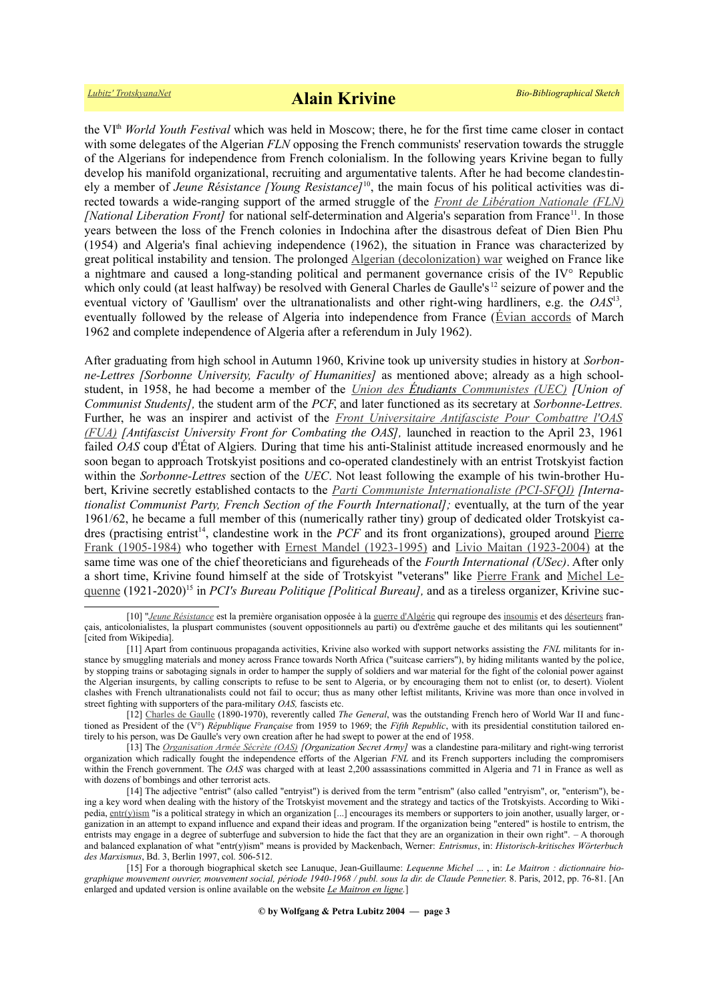the VIth *World Youth Festival* which was held in Moscow; there, he for the first time came closer in contact with some delegates of the Algerian *FLN* opposing the French communists' reservation towards the struggle of the Algerians for independence from French colonialism. In the following years Krivine began to fully develop his manifold organizational, recruiting and argumentative talents. After he had become clandestinely a member of *Jeune Résistance [Young Resistance]*[10](#page-2-0), the main focus of his political activities was directed towards a wide-ranging support of the armed struggle of the *[Front de Libération Nationale \(FLN\)](https://fr.wikipedia.org/wiki/Front_de_lib%C3%A9ration_nationale_(Alg%C3%A9rie)) [National Liberation Front]* for national self-determination and Algeria's separation from France<sup>[11](#page-2-1)</sup>. In those years between the loss of the French colonies in Indochina after the disastrous defeat of Dien Bien Phu (1954) and Algeria's final achieving independence (1962), the situation in France was characterized by great political instability and tension. The prolonged [Algerian \(decolonization\) war](https://en.wikipedia.org/wiki/Algerian_War) weighed on France like a nightmare and caused a long-standing political and permanent governance crisis of the IV° Republic which only could (at least halfway) be resolved with General Charles de Gaulle's <sup>[12](#page-2-2)</sup> seizure of power and the eventual victory of 'Gaullism' over the ultranationalists and other right-wing hardliners, e.g. the *OAS*<sup>[13](#page-2-3)</sup>, eventually followed by the release of Algeria into independence from France ([Évian accords](https://en.wikipedia.org/wiki/%C3%89vian_Accords) of March 1962 and complete independence of Algeria after a referendum in July 1962).

After graduating from high school in Autumn 1960, Krivine took up university studies in history at *Sorbonne-Lettres [Sorbonne University, Faculty of Humanities]* as mentioned above; already as a high schoolstudent, in 1958, he had become a member of the *[Union des](https://fr.wikipedia.org/wiki/Union_des_%C3%A9tudiants_communistes) [Étudiants](https://fr.wikipedia.org/wiki/Union_des_%C3%A9tudiants_communistes#Les_%C3%89tudiants_socialistes_r%C3%A9volutionnaires) [Communistes \(UEC\)](https://fr.wikipedia.org/wiki/Union_des_%C3%A9tudiants_communistes) [Union of Communist Students],* the student arm of the *PCF*, and later functioned as its secretary at *Sorbonne-Lettres.* Further, he was an inspirer and activist of the *Front Universitaire Antifasciste Pour Combattre l'OAS [\(FUA\)](https://fr.wikipedia.org/wiki/Front_universitaire_antifasciste) [Antifascist University Front for Combating the OAS],* launched in reaction to the April 23, 1961 failed *OAS* coup d'État of Algiers*.* During that time his anti-Stalinist attitude increased enormously and he soon began to approach Trotskyist positions and co-operated clandestinely with an entrist Trotskyist faction within the *Sorbonne-Lettres* section of the *UEC*. Not least following the example of his twin-brother Hubert, Krivine secretly established contacts to the *[Parti Communiste Internationaliste \(PCI-SFQI\)](https://fr.wikipedia.org/wiki/Parti_communiste_internationaliste) [Internationalist Communist Party, French Section of the Fourth International];* eventually, at the turn of the year 1961/62, he became a full member of this (numerically rather tiny) group of dedicated older Trotskyist ca-dres (practising entrist<sup>[14](#page-2-4)</sup>, clandestine work in the *PCF* and its front organizations), grouped around [Pierre](https://www.trotskyana.net/Trotskyists/Bio-Bibliographies/bio-bibl_frank.pdf) [Frank \(1905-1984\)](https://www.trotskyana.net/Trotskyists/Bio-Bibliographies/bio-bibl_frank.pdf) who together with [Ernest Mandel \(1923-1995\)](https://www.trotskyana.net/Trotskyists/Ernest_Mandel/ernest_mandel.html) and [Livio Maitan \(1923-2004\)](https://www.trotskyana.net/Trotskyists/Bio-Bibliographies/bio-bibl_maitan.pdf) at the same time was one of the chief theoreticians and figureheads of the *Fourth International (USec)*. After only a short time, Krivine found himself at the side of Trotskyist "veterans" like [Pierre Frank](https://www.trotskyana.net/Trotskyists/Bio-Bibliographies/bio-bibl_frank.pdf) and [Michel Le](https://fr.wikipedia.org/wiki/Michel_Lequenne)[quenne](https://fr.wikipedia.org/wiki/Michel_Lequenne) (1921-2020)[15](#page-2-5) in *PCI's Bureau Politique [Political Bureau],* and as a tireless organizer, Krivine suc-

<span id="page-2-0"></span><sup>[10] &</sup>quot;*[Jeune Résistance](https://fr.wikipedia.org/wiki/Jeune_R%C3%A9sistance_(guerre_d)* est la première organisation opposée à la [guerre d'Algérie](https://fr.wikipedia.org/wiki/Guerre_d) qui regroupe des [insoumis](https://fr.wikipedia.org/wiki/Insoumission) et des [déserteurs](https://fr.wikipedia.org/wiki/D%C3%A9serteurs) français, anticolonialistes, la pluspart communistes (souvent oppositionnels au parti) ou d'extrême gauche et des militants qui les soutiennent" [cited from Wikipedia].

<span id="page-2-1"></span><sup>[11]</sup> Apart from continuous propaganda activities, Krivine also worked with support networks assisting the *FNL* militants for instance by smuggling materials and money across France towards North Africa ("suitcase carriers"), by hiding militants wanted by the police, by stopping trains or sabotaging signals in order to hamper the supply of soldiers and war material for the fight of the colonial power against the Algerian insurgents, by calling conscripts to refuse to be sent to Algeria, or by encouraging them not to enlist (or, to desert). Violent clashes with French ultranationalists could not fail to occur; thus as many other leftist militants, Krivine was more than once involved in street fighting with supporters of the para-military *OAS,* fascists etc.

<span id="page-2-2"></span><sup>[12]</sup> [Charles de Gaulle](https://fr.wikipedia.org/wiki/Charles_de_Gaulle) (1890-1970), reverently called *The General*, was the outstanding French hero of World War II and functioned as President of the (V°) *République Fra[nça](https://fr.wikipedia.org/wiki/Parti_communiste_fran%C3%A7ais)ise* from 1959 to 1969; the *Fifth Republic*, with its presidential constitution tailored entirely to his person, was De Gaulle's very own creation after he had swept to power at the end of 1958.

<span id="page-2-3"></span><sup>[13]</sup> The *[Organisation Armée Sécrète \(OAS\)](https://fr.wikipedia.org/wiki/Organisation_de_l) [Organization Secret Army]* was a clandestine para-military and right-wing terrorist organization which radically fought the independence efforts of the Algerian *FNL* and its French supporters including the compromisers within the French government. The *OAS* was charged with at least 2,200 assassinations committed in Algeria and 71 in France as well as with dozens of bombings and other terrorist acts.

<span id="page-2-4"></span><sup>[14]</sup> The adjective "entrist" (also called "entryist") is derived from the term "entrism" (also called "entryism", or, "enterism"), being a key word when dealing with the history of the Trotskyist movement and the strategy and tactics of the Trotskyists. According to Wikipedia, [entr\(y\)ism](https://en.wikipedia.org/wiki/Entryism) "is a political strategy in which an organization [...] encourages its members or supporters to join another, usually larger, organization in an attempt to expand influence and expand their ideas and program. If the organization being "entered" is hostile to entrism, the entrists may engage in a degree of subterfuge and subversion to hide the fact that they are an organization in their own right". – A thorough and balanced explanation of what "entr(y)ism" means is provided by Mackenbach, Werner: *Entrismus*, in: *Historisch-kritisches Wörterbuch des Marxismus*, Bd. 3, Berlin 1997, col. 506-512.

<span id="page-2-5"></span><sup>[15]</sup> For a thorough biographical sketch see Lanuque, Jean-Guillaume: *Lequenne Michel* ... , in: *Le Maitron : dictionnaire biographique mouvement ouvrier, mouvement social, période 1940-1968 / publ. sous la dir. de Claude Pennetier*. 8. Paris, 2012, pp. 76-81. [An enlarged and updated version is online available on the website *[Le Maitron en ligne.](https://maitron.fr/spip.php?article140297)*]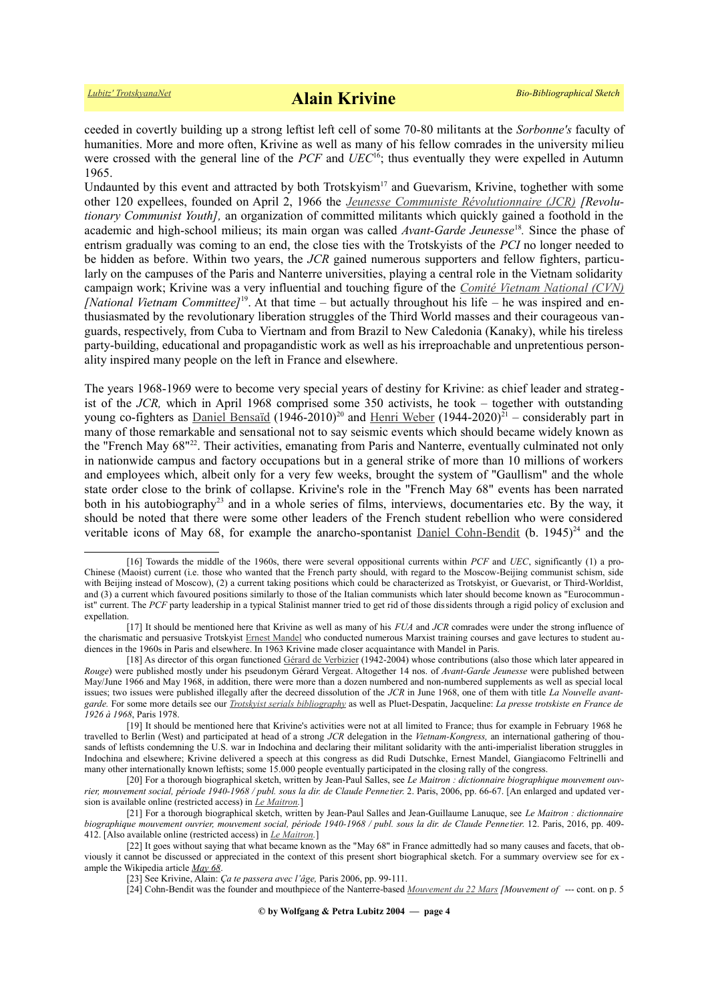ceeded in covertly building up a strong leftist left cell of some 70-80 militants at the *Sorbonne's* faculty of humanities. More and more often, Krivine as well as many of his fellow comrades in the university milieu were crossed with the general line of the *PCF* and *UEC*[16](#page-3-0); thus eventually they were expelled in Autumn 1965.

Undaunted by this event and attracted by both Trotskyism<sup>[17](#page-3-1)</sup> and Guevarism, Krivine, toghether with some other 120 expellees, founded on April 2, 1966 the *[Jeunesse Communiste Révolutionnaire \(JCR\)](https://fr.wikipedia.org/wiki/Jeunesse_communiste_r%C3%A9volutionnaire) [Revolutionary Communist Youth],* an organization of committed militants which quickly gained a foothold in the academic and high-school milieus; its main organ was called *Avant-Garde Jeunesse*[18](#page-3-2) *.* Since the phase of entrism gradually was coming to an end, the close ties with the Trotskyists of the *PCI* no longer needed to be hidden as before. Within two years, the *JCR* gained numerous supporters and fellow fighters, particularly on the campuses of the Paris and Nanterre universities, playing a central role in the Vietnam solidarity campaign work; Krivine was a very influential and touching figure of the *[Comité Vietnam National \(CVN\)](https://fr.wikipedia.org/wiki/Comit%C3%A9_Vietnam_national) [National Vietnam Committee]*[19](#page-3-3). At that time – but actually throughout his life – he was inspired and enthusiasmated by the revolutionary liberation struggles of the Third World masses and their courageous vanguards, respectively, from Cuba to Viertnam and from Brazil to New Caledonia (Kanaky), while his tireless party-building, educational and propagandistic work as well as his irreproachable and unpretentious personality inspired many people on the left in France and elsewhere.

The years 1968-1969 were to become very special years of destiny for Krivine: as chief leader and strategist of the *JCR,* which in April 1968 comprised some 350 activists, he took – together with outstanding young co-fighters as [Daniel Bensaïd](https://fr.wikipedia.org/wiki/Daniel_Bensa%C3%AFd) (1946-[20](#page-3-4)10)<sup>20</sup> and [Henri Weber](https://fr.wikipedia.org/wiki/Henri_Weber) (1944-2020)<sup>[21](#page-3-5)</sup> – considerably part in many of those remarkable and sensational not to say seismic events which should became widely known as the "French May 68"[22](#page-3-6). Their activities, emanating from Paris and Nanterre, eventually culminated not only in nationwide campus and factory occupations but in a general strike of more than 10 millions of workers and employees which, albeit only for a very few weeks, brought the system of "Gaullism" and the whole state order close to the brink of collapse. Krivine's role in the "French May 68" events has been narrated both in his autobiography<sup>[23](#page-3-7)</sup> and in a whole series of films, interviews, documentaries etc. By the way, it should be noted that there were some other leaders of the French student rebellion who were considered veritable icons of May 68, for example the anarcho-spontanist [Daniel Cohn-Bendit](https://fr.wikipedia.org/wiki/Daniel_Cohn-Bendit) (b.  $1945)^{24}$  $1945)^{24}$  $1945)^{24}$  and the

<span id="page-3-0"></span><sup>[16]</sup> Towards the middle of the 1960s, there were several oppositional currents within *PCF* and *UEC*, significantly (1) a pro-Chinese (Maoist) current (i.e. those who wanted that the French party should, with regard to the Moscow-Beijing communist schism, side with Beijing instead of Moscow), (2) a current taking positions which could be characterized as Trotskyist, or Guevarist, or Third-Worldist, and (3) a current which favoured positions similarly to those of the Italian communists which later should become known as "Eurocommun ist" current. The *PCF* party leadership in a typical Stalinist manner tried to get rid of those dissidents through a rigid policy of exclusion and expellation.

<span id="page-3-1"></span><sup>[17]</sup> It should be mentioned here that Krivine as well as many of his *FUA* and *JCR* comrades were under the strong influence of the charismatic and persuasive Trotskyist [Ernest Mandel](https://www.trotskyana.net/Trotskyists/Ernest_Mandel/ernest_mandel.html) who conducted numerous Marxist training courses and gave lectures to student audiences in the 1960s in Paris and elsewhere. In 1963 Krivine made closer acquaintance with Mandel in Paris.

<span id="page-3-2"></span><sup>[18]</sup> As director of this organ functioned [Gérard de Verbizier](https://maitron.fr/spip.php?article181610) (1942-2004) whose contributions (also those which later appeared in *Rouge*) were published mostly under his pseudonym Gérard Vergeat. Altogether 14 nos. of *Avant-Garde Jeunesse* were published between May/June 1966 and May 1968, in addition, there were more than a dozen numbered and non-numbered supplements as well as special local issues; two issues were published illegally after the decreed dissolution of the *JCR* in June 1968, one of them with title *La Nouvelle avantgarde.* For some more details see our *[Trotskyist serials bibliography](https://www.trotskyana.net/LubitzBibliographies/Serials_Bibliography/zsn-bibl_ms.pdf)* as well as Pluet-Despatin, Jacqueline: *La presse trotskiste en France de 1926 à 1968*, Paris 1978.

<span id="page-3-3"></span><sup>[19]</sup> It should be mentioned here that Krivine's activities were not at all limited to France; thus for example in February 1968 he travelled to Berlin (West) and participated at head of a strong *JCR* delegation in the *Vietnam-Kongress,* an international gathering of thousands of leftists condemning the U.S. war in Indochina and declaring their militant solidarity with the anti-imperialist liberation struggles in Indochina and elsewhere; Krivine delivered a speech at this congress as did Rudi Dutschke, Ernest Mandel, Giangiacomo Feltrinelli and many other internationally known leftists; some 15.000 people eventually participated in the closing rally of the congress.

<span id="page-3-4"></span><sup>[20]</sup> For a thorough biographical sketch, written by Jean-Paul Salles, see *Le Maitron : dictionnaire biographique mouvement ouvrier, mouvement social, période 1940-1968 / publ. sous la dir. de Claude Pennetier*. 2. Paris, 2006, pp. 66-67. [An enlarged and updated version is available online (restricted access) in *[Le Maitron.](https://maitron.fr/spip.php?article16280)*]

<span id="page-3-5"></span><sup>[21]</sup> For a thorough biographical sketch, written by Jean-Paul Salles and Jean-Guillaume Lanuque, see *Le Maitron : dictionnaire biographique mouvement ouvrier, mouvement social, période 1940-1968 / publ. sous la dir. de Claude Pennetier*. 12. Paris, 2016, pp. 409- 412. [Also available online (restricted access) in *[Le Maitron.](https://maitron.fr/spip.php?article182575)*]

<sup>[22]</sup> It goes without saying that what became known as the "May 68" in France admittedly had so many causes and facets, that obviously it cannot be discussed or appreciated in the context of this present short biographical sketch. For a summary overview see for ex ample the Wikipedia article *[May 68](https://en.wikipedia.org/wiki/May_68)*.

<span id="page-3-7"></span><span id="page-3-6"></span><sup>[23]</sup> See Krivine, Alain: *Ça te passera avec l'âge,* Paris 2006, pp. 99-111.

<span id="page-3-8"></span><sup>[24]</sup> Cohn-Bendit was the founder and mouthpiece of the Nanterre-based *[Mouvement du 22 Mars](https://fr.wikipedia.org/wiki/Mouvement_du_22_Mars) [Mouvement of* --- cont. on p. 5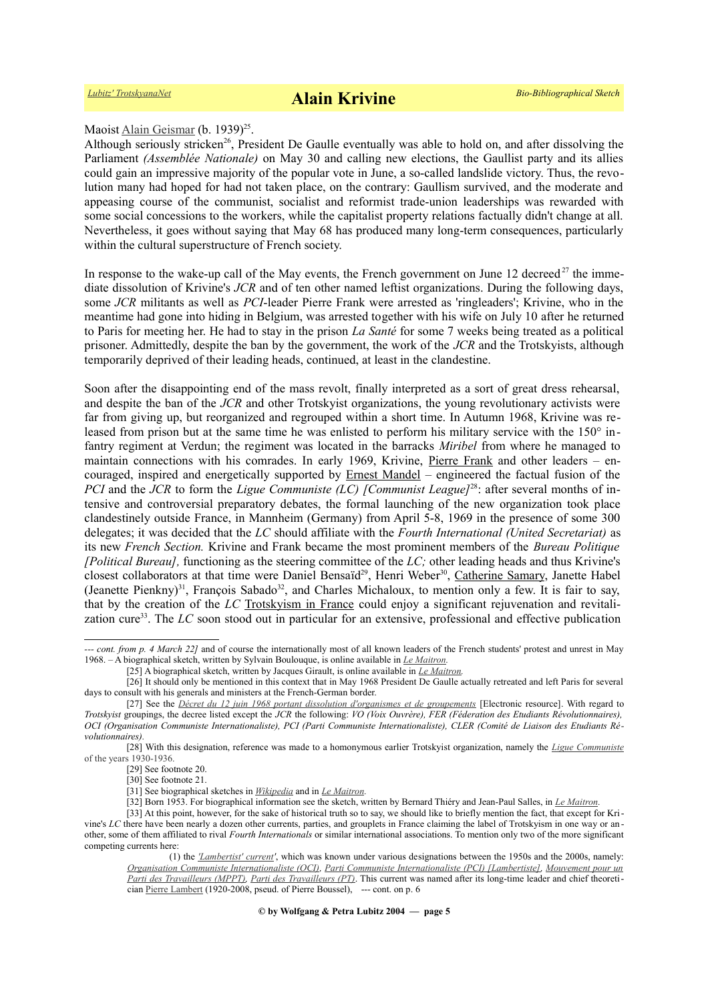### Maoist [Alain Geismar](https://en.wikipedia.org/wiki/Alain_Geismar) (b. 1939)<sup>[25](#page-4-0)</sup>.

Although seriously stricken<sup>[26](#page-4-1)</sup>, President De Gaulle eventually was able to hold on, and after dissolving the Parliament *(Assemblée Nationale)* on May 30 and calling new elections, the Gaullist party and its allies could gain an impressive majority of the popular vote in June, a so-called landslide victory. Thus, the revolution many had hoped for had not taken place, on the contrary: Gaullism survived, and the moderate and appeasing course of the communist, socialist and reformist trade-union leaderships was rewarded with some social concessions to the workers, while the capitalist property relations factually didn't change at all. Nevertheless, it goes without saying that May 68 has produced many long-term consequences, particularly within the cultural superstructure of French society.

In response to the wake-up call of the May events, the French government on June 12 decreed<sup>[27](#page-4-2)</sup> the immediate dissolution of Krivine's *JCR* and of ten other named leftist organizations. During the following days, some *JCR* militants as well as *PCI*-leader Pierre Frank were arrested as 'ringleaders'; Krivine, who in the meantime had gone into hiding in Belgium, was arrested together with his wife on July 10 after he returned to Paris for meeting her. He had to stay in the prison *La Santé* for some 7 weeks being treated as a political prisoner. Admittedly, despite the ban by the government, the work of the *JCR* and the Trotskyists, although temporarily deprived of their leading heads, continued, at least in the clandestine.

Soon after the disappointing end of the mass revolt, finally interpreted as a sort of great dress rehearsal, and despite the ban of the *JCR* and other Trotskyist organizations, the young revolutionary activists were far from giving up, but reorganized and regrouped within a short time. In Autumn 1968, Krivine was released from prison but at the same time he was enlisted to perform his military service with the 150° infantry regiment at Verdun; the regiment was located in the barracks *Miribel* from where he managed to maintain connections with his comrades. In early 1969, Krivine, [Pierre Frank](https://www.trotskyana.net/Trotskyists/Bio-Bibliographies/bio-bibl_frank.pdf) and other leaders – encouraged, inspired and energetically supported by [Ernest Mandel](https://www.trotskyana.net/Trotskyists/Ernest_Mandel/ernest_mandel.html) – engineered the factual fusion of the *PCI* and the *JCR* to form the *Ligue Communiste (LC) [Communist League]*[28](#page-4-3): after several months of intensive and controversial preparatory debates, the formal launching of the new organization took place clandestinely outside France, in Mannheim (Germany) from April 5-8, 1969 in the presence of some 300 delegates; it was decided that the *LC* should affiliate with the *Fourth International (United Secretariat)* as its new *French Section.* Krivine and Frank became the most prominent members of the *Bureau Politique [Political Bureau],* functioning as the steering committee of the *LC;* other leading heads and thus Krivine's closest collaborators at that time were Daniel Bensaïd<sup>[29](#page-4-4)</sup>, Henri Weber<sup>[30](#page-4-5)</sup>, [Catherine Samary,](https://en.wikipedia.org/wiki/Catherine_Samary) Janette Habel (Jeanette Pienkny)<sup>[31](#page-4-6)</sup>, François Sabado<sup>[32](#page-4-7)</sup>, and Charles Michaloux, to mention only a few. It is fair to say, that by the creation of the *LC* Trotskyism in France could enjoy a significant rejuvenation and revitalization cure[33](#page-4-8). The *LC* soon stood out in particular for an extensive, professional and effective publication

*<sup>---</sup> cont. from p. 4 March 22]* and of course the internationally most of all known leaders of the French students' protest and unrest in May 1968. – A biographical sketch, written by Sylvain Boulouque, is online available in *[Le Maitron.](https://maitron.fr/spip.php?article20282%20)*

<span id="page-4-2"></span><span id="page-4-1"></span><span id="page-4-0"></span><sup>[25]</sup> A biographical sketch, written by Jacques Girault, is online available in *[Le Maitron.](https://maitron.fr/spip.php?article24300)*

<sup>[26]</sup> It should only be mentioned in this context that in May 1968 President De Gaulle actually retreated and left Paris for several days to consult with his generals and ministers at the French-German border.

<sup>[27]</sup> See the *[Décret du 12 juin 1968 portant dissolution d'organismes et de groupements](https://fr.wikipedia.org/wiki/D%C3%A9cret_du_12_juin_1968_portant_dissolution_d)* [Electronic resource]. With regard to *Trotskyist* groupings, the decree listed except the *JCR* the following: *VO (Voix Ouvrère), FER (Féderation des Etudiants Révolutionnaires), OCI (Organisation Communiste Internationaliste), PCI (Parti Communiste Internationaliste), CLER (Comité de Liaison des Etudiants Révolutionnaires).* 

<sup>[28]</sup> With this designation, reference was made to a homonymous earlier Trotskyist organization, namely the *[Ligue Communiste](https://fr.wikipedia.org/wiki/Ligue_communiste_(1930))* [of the years 1930-1936.](https://fr.wikipedia.org/wiki/Ligue_communiste_(1930))

<span id="page-4-4"></span><span id="page-4-3"></span><sup>[29]</sup> See footnote [20.](#page-3-4)

<span id="page-4-5"></span><sup>[30]</sup> See footnote [21.](#page-3-5)

<span id="page-4-6"></span><sup>[31]</sup> See biographical sketches in *[Wikipedia](https://fr.wikipedia.org/wiki/Janette_Habel)* and in *[Le Maitron.](https://maitron.fr/spip.php?article158083)*

<span id="page-4-8"></span><span id="page-4-7"></span><sup>[32]</sup> Born 1953. For biographical information see the sketch, written by Bernard Thiéry and Jean-Paul Salles, in *[Le Maitron.](https://maitron.fr/spip.php?article238052)*

<sup>[33]</sup> At this point, however, for the sake of historical truth so to say, we should like to briefly mention the fact, that except for Krivine's *LC* there have been nearly a dozen other currents, parties, and grouplets in France claiming the label of Trotskyism in one way or another, some of them affiliated to rival *Fourth Internationals* or similar international associations. To mention only two of the more significant competing currents here:

<sup>(1)</sup> the *['Lambertist' current](https://fr.wikipedia.org/wiki/Courant_lambertiste)'*, which was known under various designations between the 1950s and the 2000s, namely:  *[Organisation Communiste Internationaliste \(OCI\),](https://fr.wikipedia.org/wiki/Organisation_communiste_internationaliste) [Parti Communiste Internationaliste \(PCI\) \[Lambertiste\],](https://fr.wikipedia.org/wiki/Parti_communiste_internationaliste_(lambertiste)) [Mouvement pour un](https://fr.wikipedia.org/wiki/Mouvement_pour_un_parti_des_travailleurs)  [Parti des Travailleurs \(MPPT\),](https://fr.wikipedia.org/wiki/Mouvement_pour_un_parti_des_travailleurs) [Parti des Travailleurs \(PT\)](https://fr.wikipedia.org/wiki/Parti_des_travailleurs_(France))*. This current was named after its long-time leader and chief theoretician [Pierre Lambert](https://fr.wikipedia.org/wiki/Pierre_Lambert_(homme_politique)) (1920-2008, pseud. of Pierre Boussel), --- cont. on p. 6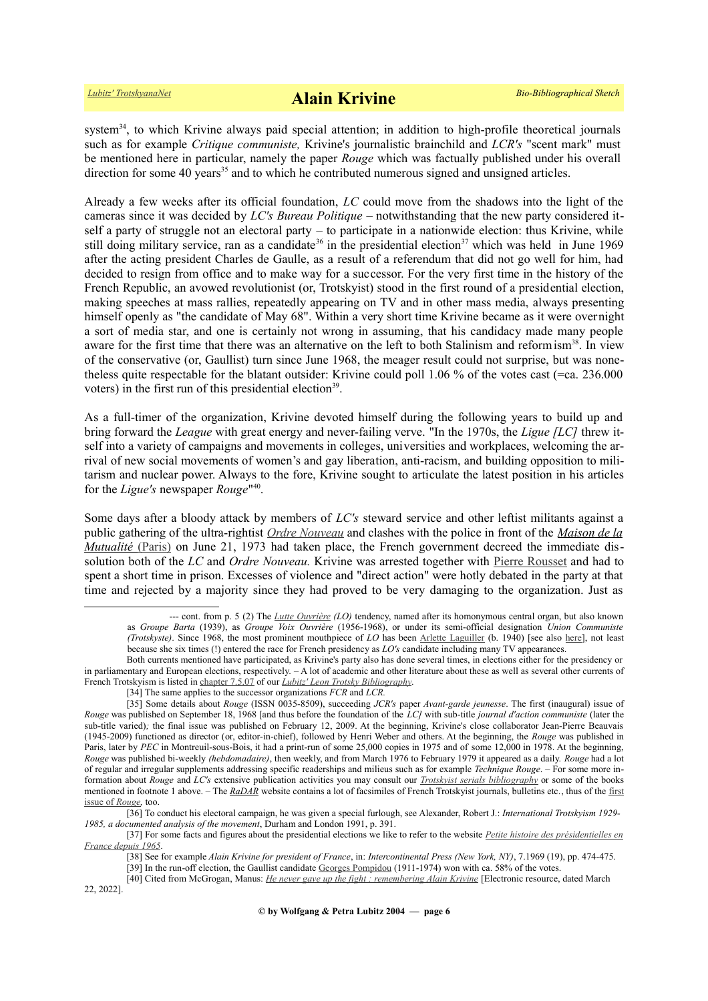system<sup>[34](#page-5-0)</sup>, to which Krivine always paid special attention; in addition to high-profile theoretical journals such as for example *Critique communiste,* Krivine's journalistic brainchild and *LCR's* "scent mark" must be mentioned here in particular, namely the paper *Rouge* which was factually published under his overall direction for some  $40$  years<sup>[35](#page-5-1)</sup> and to which he contributed numerous signed and unsigned articles.

Already a few weeks after its official foundation, *LC* could move from the shadows into the light of the cameras since it was decided by *LC's Bureau Politique* – notwithstanding that the new party considered itself a party of struggle not an electoral party – to participate in a nationwide election: thus Krivine, while still doing military service, ran as a candidate<sup>[36](#page-5-2)</sup> in the presidential election<sup>[37](#page-5-3)</sup> which was held in June 1969 after the acting president Charles de Gaulle, as a result of a referendum that did not go well for him, had decided to resign from office and to make way for a successor. For the very first time in the history of the French Republic, an avowed revolutionist (or, Trotskyist) stood in the first round of a presidential election, making speeches at mass rallies, repeatedly appearing on TV and in other mass media, always presenting himself openly as "the candidate of May 68". Within a very short time Krivine became as it were overnight a sort of media star, and one is certainly not wrong in assuming, that his candidacy made many people aware for the first time that there was an alternative on the left to both Stalinism and reform ism<sup>[38](#page-5-4)</sup>. In view of the conservative (or, Gaullist) turn since June 1968, the meager result could not surprise, but was nonetheless quite respectable for the blatant outsider: Krivine could poll 1.06 % of the votes cast (=ca. 236.000 voters) in the first run of this presidential election<sup>[39](#page-5-5)</sup>.

As a full-timer of the organization, Krivine devoted himself during the following years to build up and bring forward the *League* with great energy and never-failing verve. "In the 1970s, the *Ligue [LC]* threw itself into a variety of campaigns and movements in colleges, universities and workplaces, welcoming the arrival of new social movements of women's and gay liberation, anti-racism, and building opposition to militarism and nuclear power. Always to the fore, Krivine sought to articulate the latest position in his articles for the *Ligue's* newspaper *Rouge*" [40](#page-5-6) .

Some days after a bloody attack by members of *LC's* steward service and other leftist militants against a public gathering of the ultra-rightist *[Ordre Nouveau](https://fr.wikipedia.org/wiki/Ordre_nouveau_(mouvement))* and clashes with the police in front of the *[Maison de la](https://fr.wikipedia.org/wiki/Maison_de_la_Mutualit%C3%A9) Mutualité* [\(Paris\)](https://fr.wikipedia.org/wiki/Maison_de_la_Mutualit%C3%A9) on June 21, 1973 had taken place, the French government decreed the immediate dissolution both of the *LC* and *Ordre Nouveau.* Krivine was arrested together with [Pierre Rousset](https://fr.wikipedia.org/wiki/Pierre_Rousset_(ornithologue)) and had to spent a short time in prison. Excesses of violence and "direct action" were hotly debated in the party at that time and rejected by a majority since they had proved to be very damaging to the organization. Just as

<sup>---</sup> cont. from p. 5 (2) The *[Lutte Ouvrière](https://fr.wikipedia.org/wiki/Lutte_ouvri%C3%A8re) (LO)* tendency, named after its homonymous central organ, but also known as *Groupe Barta* (1939), as *Groupe Voix Ouvrière* (1956-1968), or under its semi-official designation *Union Communiste (Trotskyste)*. Since 1968, the most prominent mouthpiece of *LO* has been [Arlette Laguiller](https://maitron.fr/spip.php?article137525) (b. 1940) [see also [here\]](https://fr.wikipedia.org/wiki/Arlette_Laguiller), not least because she six times (!) entered the race for French presidency as *LO's* candidate including many TV appearances.

Both currents mentioned have participated, as Krivine's party also has done several times, in elections either for the presidency or in parliamentary and European elections, respectively. – A lot of academic and other literature about these as well as several other currents of French Trotskyism is listed in [chapter 7.5.07](https://www.trotskyana.net/LubitzBibliographies/Trotsky_Bibliography/Leon_Trotsky_Bibliography_07.html#c7.5.07) of our *[Lubitz' Leon Trotsky Bibliography](https://www.trotskyana.net/LubitzBibliographies/Trotsky_Bibliography/Leon_Trotsky_Bibliography.html)*.

<span id="page-5-1"></span><span id="page-5-0"></span><sup>[34]</sup> The same applies to the successor organizations *FCR* and *LCR.*

<sup>[35]</sup> Some details about *Rouge* (ISSN 0035-8509), succeeding *JCR's* paper *Avant-garde jeunesse*. The first (inaugural) issue of *Rouge* was published on September 18, 1968 [and thus before the foundation of the *LC]* with sub-title *journal d'action communiste* (later the sub-title varied); the final issue was published on February 12, 2009. At the beginning, Krivine's close collaborator Jean-Pierre Beauvais (1945-2009) functioned as director (or, editor-in-chief), followed by Henri Weber and others. At the beginning, the *Rouge* was published in Paris, later by *PEC* in Montreuil-sous-Bois, it had a print-run of some 25,000 copies in 1975 and of some 12,000 in 1978. At the beginning, *Rouge* was published bi-weekly *(hebdomadaire)*, then weekly, and from March 1976 to February 1979 it appeared as a daily. *Rouge* had a lot of regular and irregular supplements addressing specific readerships and milieus such as for example *Technique Rouge*. – For some more information about *Rouge* and *LC's* extensive publication activities you may consult our *[Trotskyist serials bibliography](https://www.trotskyana.net/LubitzBibliographies/Serials_Bibliography/zsn-bibl_ms.pdf)* or some of the books mentioned in footnote [1](#page-0-0) above. – The *[RaDAR](http://association-radar.org/)* website contains a lot of facsimiles of French Trotskyist journals, bulletins etc., thus of the [first](http://association-radar.org/IMG/pdf/01-680918.pdf)  [issue of](http://association-radar.org/IMG/pdf/01-680918.pdf) *[Rouge,](http://association-radar.org/IMG/pdf/01-680918.pdf)* too.

<sup>[36]</sup> To conduct his electoral campaign, he was given a special furlough, see Alexander, Robert J.: *International Trotskyism 1929- 1985, a documented analysis of the movement*, Durham and London 1991, p. 391.

<sup>[37]</sup> For some facts and figures about the presidential elections we like to refer to the website *[Petite histoire des présidentielles en](https://www.lesechos.fr/elections/presidentielle/petite-histoire-des-presidentielles-en-france-depuis-1965-1399101) [France depuis 1965](https://www.lesechos.fr/elections/presidentielle/petite-histoire-des-presidentielles-en-france-depuis-1965-1399101)*.

<span id="page-5-6"></span><span id="page-5-5"></span><span id="page-5-4"></span><span id="page-5-3"></span><span id="page-5-2"></span><sup>[38]</sup> See for example *Alain Krivine for president of France*, in: *Intercontinental Press (New York, NY)*, 7.1969 (19), pp. 474-475.

<sup>[39]</sup> In the run-off election, the Gaullist candidate [Georges Pompidou](https://fr.wikipedia.org/wiki/Georges_Pompidou) (1911-1974) won with ca. 58% of the votes.

<sup>[40]</sup> Cited from McGrogan, Manus: *[He never gave up the fight : remembering Alain Krivine](https://www.rs21.org.uk/2022/03/22/he-never-gave-up-the-fight-remembering-alain-krivine/)* [Electronic resource, dated March 22, 2022].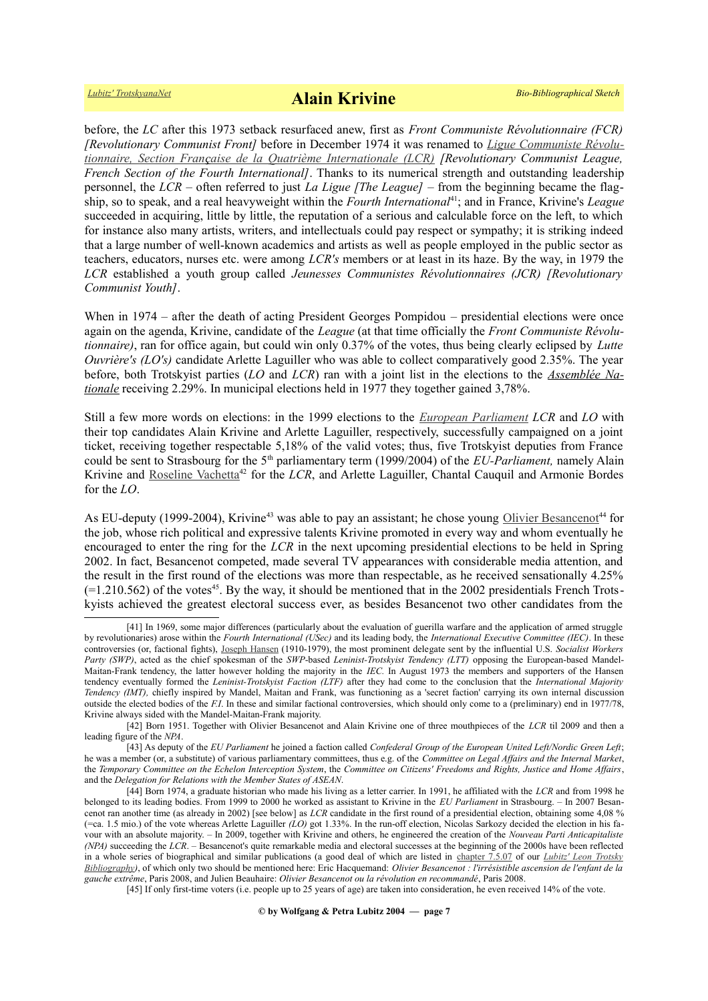before, the *LC* after this 1973 setback resurfaced anew, first as *Front Communiste Révolutionnaire (FCR) [Revolutionary Communist Front]* before in December 1974 it was renamed to *Ligue Communiste Révolu [tion naire, Section Fran](https://fr.wikipedia.org/wiki/Ligue_communiste_r%C3%A9volutionnaire) [ç](https://fr.wikipedia.org/wiki/Parti_communiste_fran%C3%A7ais) [aise de la Quatrième Internationale \(LCR\)](https://fr.wikipedia.org/wiki/Ligue_communiste_r%C3%A9volutionnaire) [Revolutionary Communist League, French Section of the Fourth International]*. Thanks to its numerical strength and outstanding leadership personnel, the *LCR* – often referred to just *La Ligue [The League]* – from the beginning became the flagship, so to speak, and a real heavyweight within the *Fourth International*[41](#page-6-0); and in France, Krivine's *League* succeeded in acquiring, little by little, the reputation of a serious and calculable force on the left, to which for instance also many artists, writers, and intellectuals could pay respect or sympathy; it is striking indeed that a large number of well-known academics and artists as well as people employed in the public sector as teachers, educators, nurses etc. were among *LCR's* members or at least in its haze. By the way, in 1979 the *LCR* established a youth group called *Jeunesses Communistes Révolutionnaires (JCR) [Revolutionary Communist Youth]*.

When in 1974 – after the death of acting President Georges Pompidou – presidential elections were once again on the agenda, Krivine, candidate of the *League* (at that time officially the *Front Communiste Révolutionnaire)*, ran for office again, but could win only 0.37% of the votes, thus being clearly eclipsed by *Lutte Ouvrière's (LO's)* candidate Arlette Laguiller who was able to collect comparatively good 2.35%. The year before, both Trotskyist parties (*LO* and *LCR*) ran with a joint list in the elections to the *[Assemblée Na](https://fr.wikipedia.org/wiki/Assembl%C3%A9e_nationale_(France))[tionale](https://fr.wikipedia.org/wiki/Assembl%C3%A9e_nationale_(France))* receiving 2.29%. In municipal elections held in 1977 they together gained 3,78%.

Still a few more words on elections: in the 1999 elections to the *[European Parliament](https://en.wikipedia.org/wiki/European_Parliament) LCR* and *LO* with their top candidates Alain Krivine and Arlette Laguiller, respectively, successfully campaigned on a joint ticket, receiving together respectable 5,18% of the valid votes; thus, five Trotskyist deputies from France could be sent to Strasbourg for the 5<sup>th</sup> parliamentary term (1999/2004) of the *EU-Parliament*, namely Alain Krivine and [Roseline Vachetta](https://fr.wikipedia.org/wiki/Roseline_Vachetta)<sup>[42](#page-6-1)</sup> for the *LCR*, and Arlette Laguiller, Chantal Cauquil and Armonie Bordes for the *LO*.

As EU-deputy (1999-2004), Krivine<sup>[43](#page-6-2)</sup> was able to pay an assistant; he chose young [Olivier Besancenot](https://fr.wikipedia.org/wiki/Olivier_Besancenot)<sup>[44](#page-6-3)</sup> for the job, whose rich political and expressive talents Krivine promoted in every way and whom eventually he encouraged to enter the ring for the *LCR* in the next upcoming presidential elections to be held in Spring 2002. In fact, Besancenot competed, made several TV appearances with considerable media attention, and the result in the first round of the elections was more than respectable, as he received sensationally 4.25%  $(=1.210.562)$  of the votes<sup>[45](#page-6-4)</sup>. By the way, it should be mentioned that in the 2002 presidentials French Trotskyists achieved the greatest electoral success ever, as besides Besancenot two other candidates from the

<span id="page-6-4"></span>[45] If only first-time voters (i.e. people up to 25 years of age) are taken into consideration, he even received 14% of the vote.

<span id="page-6-0"></span><sup>[41]</sup> In 1969, some major differences (particularly about the evaluation of guerilla warfare and the application of armed struggle by revolutionaries) arose within the *Fourth International (USec)* and its leading body, the *International Executive Committee (IEC)*. In these controversies (or, factional fights), [Joseph Hansen](https://www.trotskyana.net/Trotskyists/Bio-Bibliographies/bio-bibl_hansen_j.pdf) (1910-1979), the most prominent delegate sent by the influential U.S. *Socialist Workers Party (SWP)*, acted as the chief spokesman of the *SWP*-based *Leninist-Trotskyist Tendency (LTT)* opposing the European-based Mandel-Maitan-Frank tendency, the latter however holding the majority in the *IEC.* In August 1973 the members and supporters of the Hansen tendency eventually formed the *Leninist-Trotskyist Faction (LTF)* after they had come to the conclusion that the *International Majority Tendency (IMT),* chiefly inspired by Mandel, Maitan and Frank, was functioning as a 'secret faction' carrying its own internal discussion outside the elected bodies of the *F.I*. In these and similar factional controversies, which should only come to a (preliminary) end in 1977/78, Krivine always sided with the Mandel-Maitan-Frank majority.

<span id="page-6-1"></span><sup>[42]</sup> Born 1951. Together with Olivier Besancenot and Alain Krivine one of three mouthpieces of the *LCR* til 2009 and then a leading figure of the *NPA*.

<span id="page-6-2"></span><sup>[43]</sup> As deputy of the *EU Parliament* he joined a faction called *Confederal Group of the European United Left/Nordic Green Left*; he was a member (or, a substitute) of various parliamentary committees, thus e.g. of the *Committee on Legal Affairs and the Internal Market*, the *Temporary Committee on the Echelon Interception System*, the *Committee on Citizens' Freedoms and Rights, Justice and Home Affairs*, and the *Delegation for Relations with the Member States of ASEAN*.

<span id="page-6-3"></span><sup>[44]</sup> Born 1974, a graduate historian who made his living as a letter carrier. In 1991, he affiliated with the *LCR* and from 1998 he belonged to its leading bodies. From 1999 to 2000 he worked as assistant to Krivine in the *EU Parliament* in Strasbourg. – In 2007 Besancenot ran another time (as already in 2002) [see below] as *LCR* candidate in the first round of a presidential election, obtaining some 4,08 % (=ca. 1.5 mio.) of the vote whereas Arlette Laguiller *(LO)* got 1.33%. In the run-off election, Nicolas Sarkozy decided the election in his favour with an absolute majority. – In 2009, together with Krivine and others, he engineered the creation of the *Nouveau Parti Anticapitaliste (NPA)* succeeding the *LCR*. – Besancenot's quite remarkable media and electoral successes at the beginning of the 2000s have been reflected in a whole series of biographical and similar publications (a good deal of which are listed in [chapter 7.5.07](https://www.trotskyana.net/LubitzBibliographies/Trotsky_Bibliography/Leon_Trotsky_Bibliography_07.html#c7.5.07) of our *[Lubitz' Leon Trotsky](https://www.trotskyana.net/LubitzBibliographies/Trotsky_Bibliography/Leon_Trotsky_Bibliography.html)  [Bibliography\)](https://www.trotskyana.net/LubitzBibliographies/Trotsky_Bibliography/Leon_Trotsky_Bibliography.html)*, of which only two should be mentioned here: Eric Hacquemand: *Olivier Besancenot : l'irrésistible ascension de l'enfant de la gauche extrême*, Paris 2008, and Julien Beauhaire: *Olivier Besancenot ou la révolution en recommandé*, Paris 2008.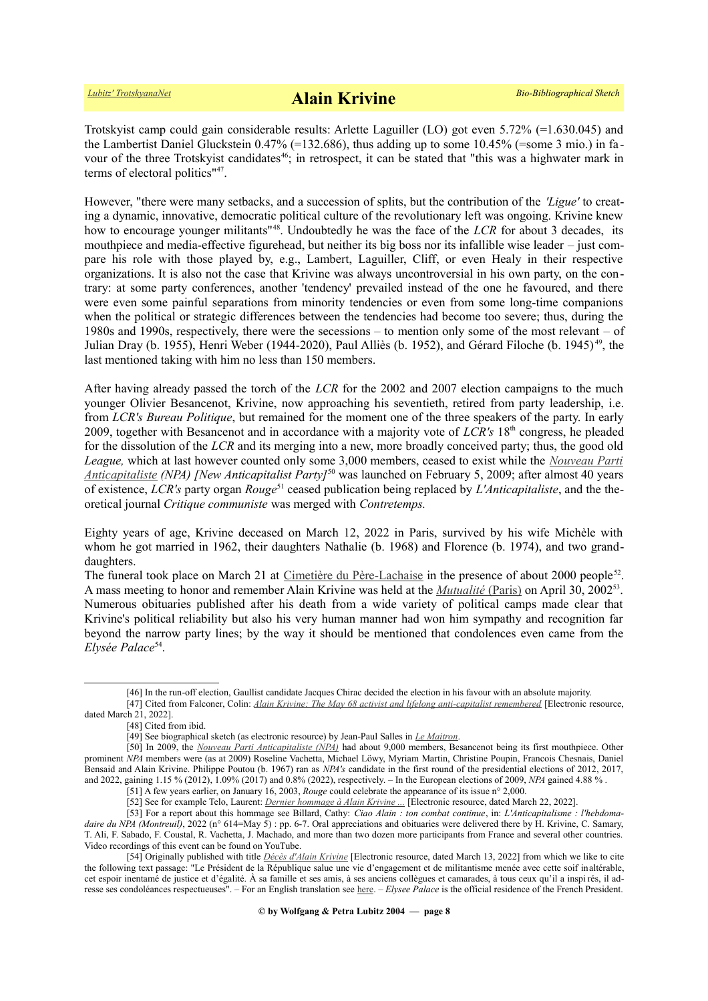Trotskyist camp could gain considerable results: Arlette Laguiller (LO) got even 5.72% (=1.630.045) and the Lambertist Daniel Gluckstein  $0.47\%$  (=132.686), thus adding up to some 10.45% (=some 3 mio.) in fa-vour of the three Trotskyist candidates<sup>[46](#page-7-0)</sup>; in retrospect, it can be stated that "this was a highwater mark in terms of electoral politics"[47](#page-7-1) .

However, "there were many setbacks, and a succession of splits, but the contribution of the *'Ligue'* to creating a dynamic, innovative, democratic political culture of the revolutionary left was ongoing. Krivine knew how to encourage younger militants<sup>"[48](#page-7-2)</sup>. Undoubtedly he was the face of the *LCR* for about 3 decades, its mouthpiece and media-effective figurehead, but neither its big boss nor its infallible wise leader – just compare his role with those played by, e.g., Lambert, Laguiller, Cliff, or even Healy in their respective organizations. It is also not the case that Krivine was always uncontroversial in his own party, on the contrary: at some party conferences, another 'tendency' prevailed instead of the one he favoured, and there were even some painful separations from minority tendencies or even from some long-time companions when the political or strategic differences between the tendencies had become too severe; thus, during the 1980s and 1990s, respectively, there were the secessions – to mention only some of the most relevant – of Julian Dray (b. 1955), Henri Weber (1944-2020), Paul Alliès (b. 1952), and Gérard Filoche (b. 1945) [49](#page-7-3), the last mentioned taking with him no less than 150 members.

After having already passed the torch of the *LCR* for the 2002 and 2007 election campaigns to the much younger Olivier Besancenot, Krivine, now approaching his seventieth, retired from party leadership, i.e. from *LCR's Bureau Politique*, but remained for the moment one of the three speakers of the party. In early 2009, together with Besancenot and in accordance with a majority vote of *LCR's* 18<sup>th</sup> congress, he pleaded for the dissolution of the *LCR* and its merging into a new, more broadly conceived party; thus, the good old *League,* which at last however counted only some 3,000 members, ceased to exist while the *[Nouveau Parti](https://fr.wikipedia.org/wiki/Nouveau_Parti_anticapitaliste)  [An ticapitaliste](https://fr.wikipedia.org/wiki/Nouveau_Parti_anticapitaliste) (NPA) [New Anticapitalist Party]*[50](#page-7-4) was launched on February 5, 2009; after almost 40 years of existence, *LCR's* party organ *Rouge*[51](#page-7-5) ceased publication being replaced by *L'Anticapitaliste*, and the theoretical journal *Critique communiste* was merged with *Contretemps.*

Eighty years of age, Krivine deceased on March 12, 2022 in Paris, survived by his wife Michèle with whom he got married in 1962, their daughters Nathalie (b. 1968) and Florence (b. 1974), and two granddaughters.

The funeral took place on March 21 at [Cimetière du Père-Lachaise](https://fr.wikipedia.org/wiki/Cimeti%C3%A8re_du_P%C3%A8re-Lachaise) in the presence of about 2000 people<sup>[52](#page-7-6)</sup>. A mass meeting to honor and remember Alain Krivine was held at the *Mutualité* [\(Paris\)](https://fr.wikipedia.org/wiki/Maison_de_la_Mutualit%C3%A9) on April 30, 2002<sup>[53](#page-7-7)</sup>. Numerous obituaries published after his death from a wide variety of political camps made clear that Krivine's political reliability but also his very human manner had won him sympathy and recognition far beyond the narrow party lines; by the way it should be mentioned that condolences even came from the Elysée Palace<sup>[54](#page-7-8)</sup>.

<span id="page-7-1"></span><span id="page-7-0"></span><sup>[46]</sup> In the run-off election, Gaullist candidate Jacques Chirac decided the election in his favour with an absolute majority.

<sup>[47]</sup> Cited from Falconer, Colin: *[Alain Krivine: The May 68 activist and lifelong anti-capitalist remembered](https://www.theleftberlin.com/alain-krivine-the-may-68-activist-and-lifelong-anti-capitalist-remembered/)* [Electronic resource, dated March 21, 2022].

<sup>[48]</sup> Cited from ibid.

<span id="page-7-4"></span><span id="page-7-3"></span><span id="page-7-2"></span><sup>[49]</sup> See biographical sketch (as electronic resource) by Jean-Paul Salles in *[Le Maitron](https://maitron.fr/spip.php?article233874)*.

<sup>[50]</sup> In 2009, the *[Nouveau Parti Anticapitaliste \(NPA\)](https://fr.wikipedia.org/wiki/Nouveau_Parti_anticapitaliste)* had about 9,000 members, Besancenot being its first mouthpiece. Other prominent *NPA* members were (as at 2009) Roseline Vachetta, Michael Löwy, Myriam Martin, Christine Poupin, Francois Chesnais, Daniel Bensaid and Alain Krivine. Philippe Poutou (b. 1967) ran as *NPA's* candidate in the first round of the presidential elections of 2012, 2017, and 2022, gaining 1.15 % (2012), 1.09% (2017) and 0.8% (2022), respectively. – In the European elections of 2009, *NPA* gained 4.88 % .

<span id="page-7-5"></span><sup>[51]</sup> A few years earlier, on January 16, 2003, *Rouge* could celebrate the appearance of its issue n° 2,000.

<span id="page-7-8"></span><span id="page-7-7"></span><span id="page-7-6"></span><sup>[52]</sup> See for example Telo, Laurent: *[Dernier hommage à Alain Krivine ...](https://www.lemonde.fr/politique/article/2022/03/22/dernier-hommage-a-alain-krivine-figure-tutelaire-de-l-extreme-gauche_6118574_823448.html)* [Electronic resource, dated March 22, 2022].

<sup>[53]</sup> For a report about this hommage see Billard, Cathy: *Ciao Alain : ton combat continue*, in: *L'Anticapitalisme : l'hebdomadaire du NPA (Montreuil)*, 2022 (n° 614=May 5) : pp. 6-7. Oral appreciations and obituaries were delivered there by H. Krivine, C. Samary, T. Ali, F. Sabado, F. Coustal, R. Vachetta, J. Machado, and more than two dozen more participants from France and several other countries. Video recordings of this event can be found on YouTube.

<sup>[54]</sup> Originally published with title *[Décès d'Alain Krivine](https://www.elysee.fr/emmanuel-macron/2022/03/13/deces-dalain-krivine)* [Electronic resource, dated March 13, 2022] from which we like to cite the following text passage: "Le Président de la République salue une vie d'engagement et de militantisme menée avec cette soif inaltérable, cet espoir inentamé de justice et d'égalité. À sa famille et ses amis, à ses anciens collègues et camarades, à tous ceux qu'il a inspi rés, il adresse ses condoléances respectueuses". – For an English translation see [here.](https://foreignaffairs.co.nz/2022/03/14/mil-osi-translation-death-of-alain-krivine/) – *Elysee Palace* is the official residence of the French President.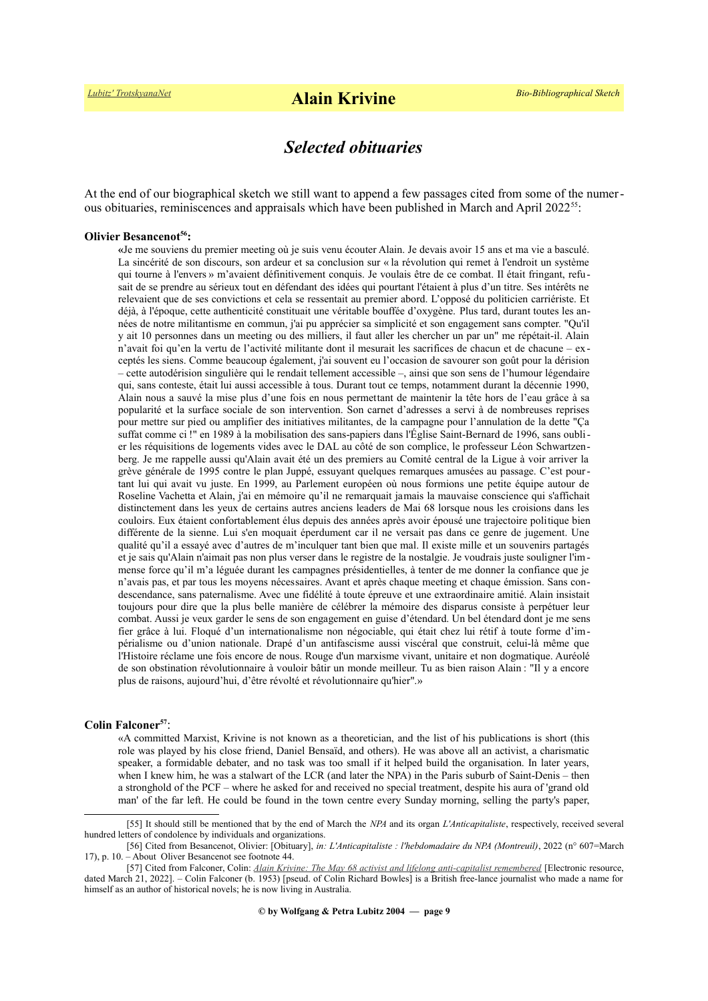## *Selected obituaries*

At the end of our biographical sketch we still want to append a few passages cited from some of the numer-ous obituaries, reminiscences and appraisals which have been published in March and April 2022<sup>[55](#page-8-0)</sup>:

#### **Olivier Besancenot[56](#page-8-1):**

**«**Je me souviens du premier meeting où je suis venu écouter Alain. Je devais avoir 15 ans et ma vie a basculé. La sincérité de son discours, son ardeur et sa conclusion sur « la révolution qui remet à l'endroit un système qui tourne à l'envers » m'avaient définitivement conquis. Je voulais être de ce combat. Il était fringant, refusait de se prendre au sérieux tout en défendant des idées qui pourtant l'étaient à plus d'un titre. Ses intérêts ne relevaient que de ses convictions et cela se ressentait au premier abord. L'opposé du politicien carriériste. Et déjà, à l'époque, cette authenticité constituait une véritable bouffée d'oxygène. Plus tard, durant toutes les années de notre militantisme en commun, j'ai pu apprécier sa simplicité et son engagement sans compter. "Qu'il y ait 10 personnes dans un meeting ou des milliers, il faut aller les chercher un par un" me répétait-il. Alain n'avait foi qu'en la vertu de l'activité militante dont il mesurait les sacrifices de chacun et de chacune – exceptés les siens. Comme beaucoup également, j'ai souvent eu l'occasion de savourer son goût pour la dérision – cette autodérision singulière qui le rendait tellement accessible –, ainsi que son sens de l'humour légendaire qui, sans conteste, était lui aussi accessible à tous. Durant tout ce temps, notamment durant la décennie 1990, Alain nous a sauvé la mise plus d'une fois en nous permettant de maintenir la tête hors de l'eau grâce à sa popularité et la surface sociale de son intervention. Son carnet d'adresses a servi à de nombreuses reprises pour mettre sur pied ou amplifier des initiatives militantes, de la campagne pour l'annulation de la dette "Ça suffat comme ci !" en 1989 à la mobilisation des sans-papiers dans l'Église Saint-Bernard de 1996, sans oublier les réquisitions de logements vides avec le DAL au côté de son complice, le professeur Léon Schwartzenberg. Je me rappelle aussi qu'Alain avait été un des premiers au Comité central de la Ligue à voir arriver la grève générale de 1995 contre le plan Juppé, essuyant quelques remarques amusées au passage. C'est pourtant lui qui avait vu juste. En 1999, au Parlement européen où nous formions une petite équipe autour de Roseline Vachetta et Alain, j'ai en mémoire qu'il ne remarquait jamais la mauvaise conscience qui s'affichait distinctement dans les yeux de certains autres anciens leaders de Mai 68 lorsque nous les croisions dans les couloirs. Eux étaient confortablement élus depuis des années après avoir épousé une trajectoire politique bien différente de la sienne. Lui s'en moquait éperdument car il ne versait pas dans ce genre de jugement. Une qualité qu'il a essayé avec d'autres de m'inculquer tant bien que mal. Il existe mille et un souvenirs partagés et je sais qu'Alain n'aimait pas non plus verser dans le registre de la nostalgie. Je voudrais juste souligner l'immense force qu'il m'a léguée durant les campagnes présidentielles, à tenter de me donner la confiance que je n'avais pas, et par tous les moyens nécessaires. Avant et après chaque meeting et chaque émission. Sans condescendance, sans paternalisme. Avec une fidélité à toute épreuve et une extraordinaire amitié. Alain insistait toujours pour dire que la plus belle manière de célébrer la mémoire des disparus consiste à perpétuer leur combat. Aussi je veux garder le sens de son engagement en guise d'étendard. Un bel étendard dont je me sens fier grâce à lui. Floqué d'un internationalisme non négociable, qui était chez lui rétif à toute forme d'impérialisme ou d'union nationale. Drapé d'un antifascisme aussi viscéral que construit, celui-là même que l'Histoire réclame une fois encore de nous. Rouge d'un marxisme vivant, unitaire et non dogmatique. Auréolé de son obstination révolutionnaire à vouloir bâtir un monde meilleur. Tu as bien raison Alain : "Il y a encore plus de raisons, aujourd'hui, d'être révolté et révolutionnaire qu'hier".»

#### **Colin Falconer[57](#page-8-2)**:

«A committed Marxist, Krivine is not known as a theoretician, and the list of his publications is short (this role was played by his close friend, Daniel Bensaïd, and others). He was above all an activist, a charismatic speaker, a formidable debater, and no task was too small if it helped build the organisation. In later years, when I knew him, he was a stalwart of the LCR (and later the NPA) in the Paris suburb of Saint-Denis – then a stronghold of the PCF – where he asked for and received no special treatment, despite his aura of 'grand old man' of the far left. He could be found in the town centre every Sunday morning, selling the party's paper,

<span id="page-8-0"></span><sup>[55]</sup> It should still be mentioned that by the end of March the *NPA* and its organ *L'Anticapitaliste*, respectively, received several hundred letters of condolence by individuals and organizations.

<span id="page-8-1"></span><sup>[56]</sup> Cited from Besancenot, Olivier: [Obituary], *in: L'Anticapitaliste : l'hebdomadaire du NPA (Montreuil)*, 2022 (n° 607=March 17), p. 10. – About Oliver Besancenot see footnote [44.](#page-6-3)

<span id="page-8-2"></span><sup>[57]</sup> Cited from Falconer, Colin: *[Alain Krivine: The May 68 activist and lifelong anti-capitalist remembered](https://www.theleftberlin.com/alain-krivine-the-may-68-activist-and-lifelong-anti-capitalist-remembered/)* [Electronic resource, dated March 21, 2022]. – Colin Falconer (b. 1953) [pseud. of Colin Richard Bowles] is a British free-lance journalist who made a name for himself as an author of historical novels; he is now living in Australia.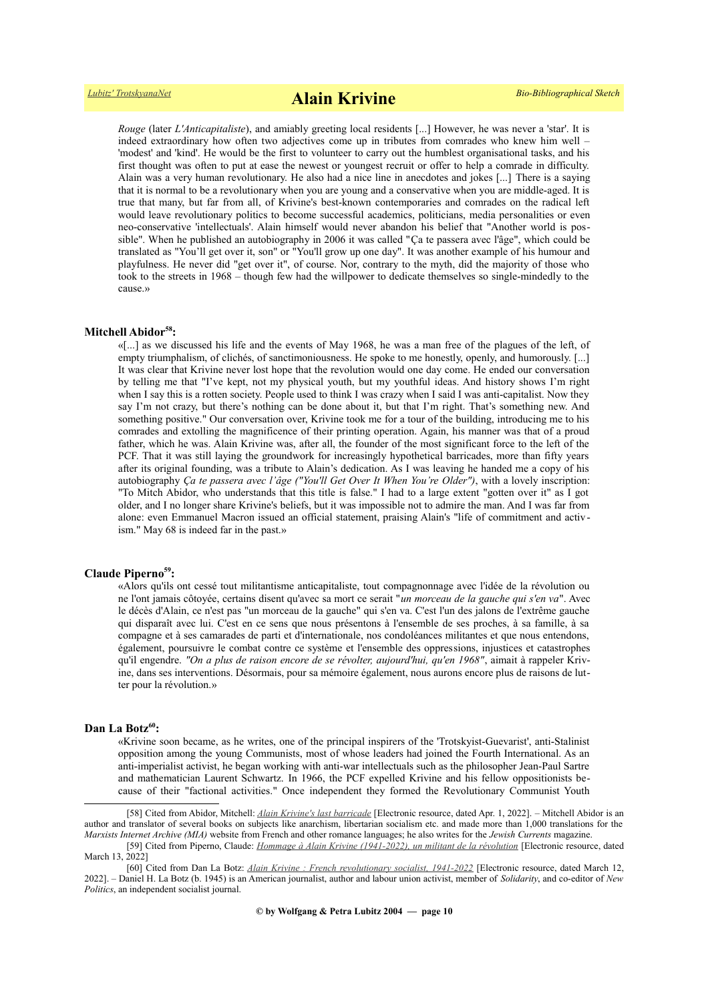*Rouge* (later *L'Anticapitaliste*), and amiably greeting local residents [...] However, he was never a 'star'. It is indeed extraordinary how often two adjectives come up in tributes from comrades who knew him well – 'modest' and 'kind'. He would be the first to volunteer to carry out the humblest organisational tasks, and his first thought was often to put at ease the newest or youngest recruit or offer to help a comrade in difficulty. Alain was a very human revolutionary. He also had a nice line in anecdotes and jokes [...] There is a saying that it is normal to be a revolutionary when you are young and a conservative when you are middle-aged. It is true that many, but far from all, of Krivine's best-known contemporaries and comrades on the radical left would leave revolutionary politics to become successful academics, politicians, media personalities or even neo-conservative 'intellectuals'. Alain himself would never abandon his belief that "Another world is possible". When he published an autobiography in 2006 it was called "Ça te passera avec l'âge", which could be translated as "You'll get over it, son" or "You'll grow up one day". It was another example of his humour and playfulness. He never did "get over it", of course. Nor, contrary to the myth, did the majority of those who took to the streets in 1968 – though few had the willpower to dedicate themselves so single-mindedly to the cause.»

## **Mitchell Abidor[58](#page-9-0):**

«[...] as we discussed his life and the events of May 1968, he was a man free of the plagues of the left, of empty triumphalism, of clichés, of sanctimoniousness. He spoke to me honestly, openly, and humorously. [...] It was clear that Krivine never lost hope that the revolution would one day come. He ended our conversation by telling me that "I've kept, not my physical youth, but my youthful ideas. And history shows I'm right when I say this is a rotten society. People used to think I was crazy when I said I was anti-capitalist. Now they say I'm not crazy, but there's nothing can be done about it, but that I'm right. That's something new. And something positive." Our conversation over, Krivine took me for a tour of the building, introducing me to his comrades and extolling the magnificence of their printing operation. Again, his manner was that of a proud father, which he was. Alain Krivine was, after all, the founder of the most significant force to the left of the PCF. That it was still laying the groundwork for increasingly hypothetical barricades, more than fifty years after its original founding, was a tribute to Alain's dedication. As I was leaving he handed me a copy of his autobiography *Ça te passera avec l'âge ("You'll Get Over It When You're Older")*, with a lovely inscription: "To Mitch Abidor, who understands that this title is false." I had to a large extent "gotten over it" as I got older, and I no longer share Krivine's beliefs, but it was impossible not to admire the man. And I was far from alone: even Emmanuel Macron issued an official statement, praising Alain's "life of commitment and activism." May 68 is indeed far in the past.»

#### **Claude Piperno[59](#page-9-1):**

«Alors qu'ils ont cessé tout militantisme anticapitaliste, tout compagnonnage avec l'idée de la révolution ou ne l'ont jamais côtoyée, certains disent qu'avec sa mort ce serait "*un morceau de la gauche qui s'en va*". Avec le décès d'Alain, ce n'est pas "un morceau de la gauche" qui s'en va. C'est l'un des jalons de l'extrême gauche qui disparaît avec lui. C'est en ce sens que nous présentons à l'ensemble de ses proches, à sa famille, à sa compagne et à ses camarades de parti et d'internationale, nos condoléances militantes et que nous entendons, également, poursuivre le combat contre ce système et l'ensemble des oppressions, injustices et catastrophes qu'il engendre. *"On a plus de raison encore de se révolter, aujourd'hui, qu'en 1968"*, aimait à rappeler Krivine, dans ses interventions. Désormais, pour sa mémoire également, nous aurons encore plus de raisons de lutter pour la révolution.»

### **Dan La Botz[60](#page-9-2):**

«Krivine soon became, as he writes, one of the principal inspirers of the 'Trotskyist-Guevarist', anti-Stalinist opposition among the young Communists, most of whose leaders had joined the Fourth International. As an anti-imperialist activist, he began working with anti-war intellectuals such as the philosopher Jean-Paul Sartre and mathematician Laurent Schwartz. In 1966, the PCF expelled Krivine and his fellow oppositionists because of their "factional activities." Once independent they formed the Revolutionary Communist Youth

<span id="page-9-0"></span>[58] Cited from Abidor, Mitchell: *[Alain Krivine's last barricade](https://tocqueville21.com/le-club/alain-krivines-last-barricade/)* [Electronic resource, dated Apr. 1, 2022]. – Mitchell Abidor is an author and translator of several books on subjects like anarchism, libertarian socialism etc. and made more than 1,000 translations for the *Marxists Internet Archive (MIA)* website from French and other romance languages; he also writes for the *Jewish Currents* magazine.

<span id="page-9-1"></span><sup>[59]</sup> Cited from Piperno, Claude: *[Hommage à Alain Krivine \(1941-2022\), un militant de la révolution](https://www.revolutionpermanente.fr/Hommage-a-Alain-Krivine-1941-2022-un-militant-de-la-revolution)* [Electronic resource, dated March 13, 2022]

<span id="page-9-2"></span><sup>[60]</sup> Cited from Dan La Botz: *[Alain Krivine : French revolutionary socialist, 1941-2022](https://newpol.org/alain-krivine-french-revolutionary-socialist-1941-2022/)* [Electronic resource, dated March 12, 2022]. – Daniel H. La Botz (b. 1945) is an American journalist, author and labour union activist, member of *Solidarity*, and co-editor of *New Politics*, an independent socialist journal.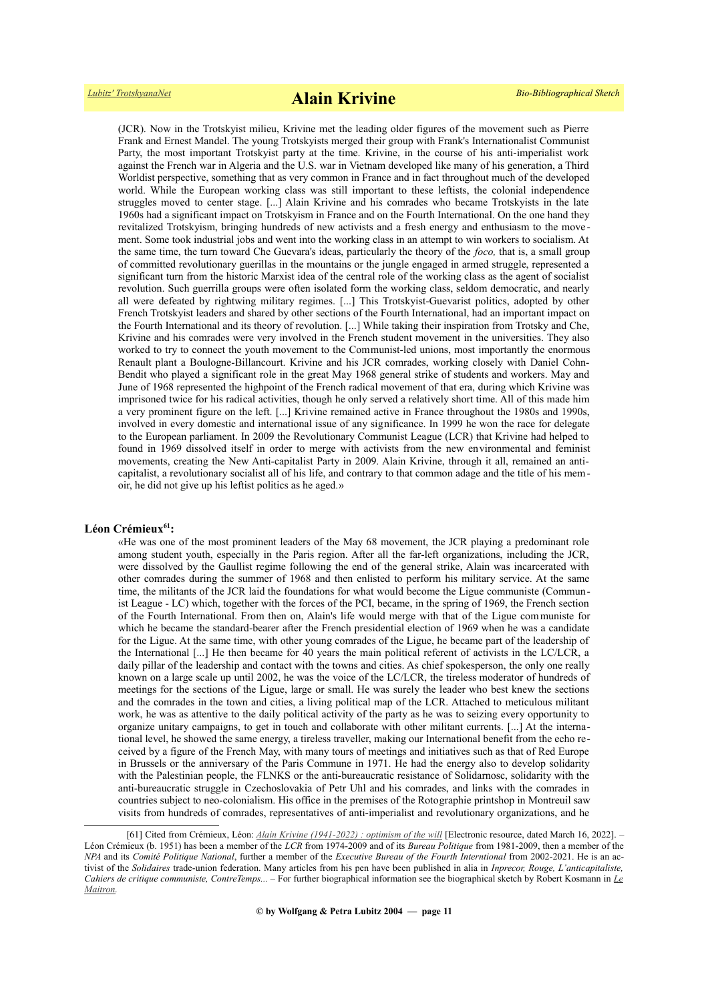(JCR). Now in the Trotskyist milieu, Krivine met the leading older figures of the movement such as Pierre Frank and Ernest Mandel. The young Trotskyists merged their group with Frank's Internationalist Communist Party, the most important Trotskyist party at the time. Krivine, in the course of his anti-imperialist work against the French war in Algeria and the U.S. war in Vietnam developed like many of his generation, a Third Worldist perspective, something that as very common in France and in fact throughout much of the developed world. While the European working class was still important to these leftists, the colonial independence struggles moved to center stage. [...] Alain Krivine and his comrades who became Trotskyists in the late 1960s had a significant impact on Trotskyism in France and on the Fourth International. On the one hand they revitalized Trotskyism, bringing hundreds of new activists and a fresh energy and enthusiasm to the move ment. Some took industrial jobs and went into the working class in an attempt to win workers to socialism. At the same time, the turn toward Che Guevara's ideas, particularly the theory of the *foco,* that is, a small group of committed revolutionary guerillas in the mountains or the jungle engaged in armed struggle, represented a significant turn from the historic Marxist idea of the central role of the working class as the agent of socialist revolution. Such guerrilla groups were often isolated form the working class, seldom democratic, and nearly all were defeated by rightwing military regimes. [...] This Trotskyist-Guevarist politics, adopted by other French Trotskyist leaders and shared by other sections of the Fourth International, had an important impact on the Fourth International and its theory of revolution. [...] While taking their inspiration from Trotsky and Che, Krivine and his comrades were very involved in the French student movement in the universities. They also worked to try to connect the youth movement to the Communist-led unions, most importantly the enormous Renault plant a Boulogne-Billancourt. Krivine and his JCR comrades, working closely with Daniel Cohn-Bendit who played a significant role in the great May 1968 general strike of students and workers. May and June of 1968 represented the highpoint of the French radical movement of that era, during which Krivine was imprisoned twice for his radical activities, though he only served a relatively short time. All of this made him a very prominent figure on the left. [...] Krivine remained active in France throughout the 1980s and 1990s, involved in every domestic and international issue of any significance. In 1999 he won the race for delegate to the European parliament. In 2009 the Revolutionary Communist League (LCR) that Krivine had helped to found in 1969 dissolved itself in order to merge with activists from the new environmental and feminist movements, creating the New Anti-capitalist Party in 2009. Alain Krivine, through it all, remained an anticapitalist, a revolutionary socialist all of his life, and contrary to that common adage and the title of his memoir, he did not give up his leftist politics as he aged.»

#### **Léon Crémieux[61](#page-10-0):**

«He was one of the most prominent leaders of the May 68 movement, the JCR playing a predominant role among student youth, especially in the Paris region. After all the far-left organizations, including the JCR, were dissolved by the Gaullist regime following the end of the general strike, Alain was incarcerated with other comrades during the summer of 1968 and then enlisted to perform his military service. At the same time, the militants of the JCR laid the foundations for what would become the Ligue communiste (Communist League - LC) which, together with the forces of the PCI, became, in the spring of 1969, the French section of the Fourth International. From then on, Alain's life would merge with that of the Ligue communiste for which he became the standard-bearer after the French presidential election of 1969 when he was a candidate for the Ligue. At the same time, with other young comrades of the Ligue, he became part of the leadership of the International [...] He then became for 40 years the main political referent of activists in the LC/LCR, a daily pillar of the leadership and contact with the towns and cities. As chief spokesperson, the only one really known on a large scale up until 2002, he was the voice of the LC/LCR, the tireless moderator of hundreds of meetings for the sections of the Ligue, large or small. He was surely the leader who best knew the sections and the comrades in the town and cities, a living political map of the LCR. Attached to meticulous militant work, he was as attentive to the daily political activity of the party as he was to seizing every opportunity to organize unitary campaigns, to get in touch and collaborate with other militant currents. [...] At the international level, he showed the same energy, a tireless traveller, making our International benefit from the echo received by a figure of the French May, with many tours of meetings and initiatives such as that of Red Europe in Brussels or the anniversary of the Paris Commune in 1971. He had the energy also to develop solidarity with the Palestinian people, the FLNKS or the anti-bureaucratic resistance of Solidarnosc, solidarity with the anti-bureaucratic struggle in Czechoslovakia of Petr Uhl and his comrades, and links with the comrades in countries subject to neo-colonialism. His office in the premises of the Rotographie printshop in Montreuil saw visits from hundreds of comrades, representatives of anti-imperialist and revolutionary organizations, and he

<span id="page-10-0"></span><sup>[61]</sup> Cited from Crémieux, Léon: *[Alain Krivine \(1941-2022\) : optimism of the will](https://fourth.international/en/europe/429)* [Electronic resource, dated March 16, 2022]. – Léon Crémieux (b. 1951) has been a member of the *LCR* from 1974-2009 and of its *Bureau Politique* from 1981-2009, then a member of the *NPA* and its *Comité Politique National*, further a member of the *Executive Bureau of the Fourth Interntional* from 2002-2021. He is an activist of the *Solidaires* trade-union federation. Many articles from his pen have been published in alia in *Inprecor, Rouge, L'anticapitaliste, Cahiers de critique communiste, ContreTemps... –* For further biographical information see the biographical sketch by Robert Kosmann in *[Le](https://maitron.fr/spip.php?article244706) [Maitron.](https://maitron.fr/spip.php?article244706)*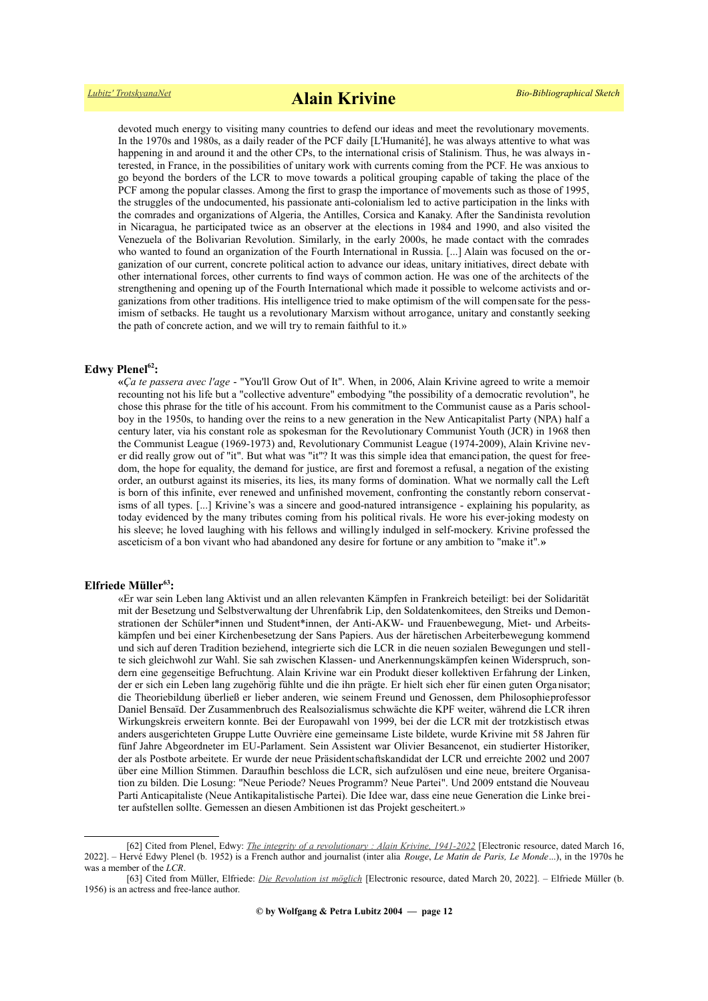devoted much energy to visiting many countries to defend our ideas and meet the revolutionary movements. In the 1970s and 1980s, as a daily reader of the PCF daily [L'Humanité], he was always attentive to what was happening in and around it and the other CPs, to the international crisis of Stalinism. Thus, he was always interested, in France, in the possibilities of unitary work with currents coming from the PCF. He was anxious to go beyond the borders of the LCR to move towards a political grouping capable of taking the place of the PCF among the popular classes. Among the first to grasp the importance of movements such as those of 1995, the struggles of the undocumented, his passionate anti-colonialism led to active participation in the links with the comrades and organizations of Algeria, the Antilles, Corsica and Kanaky. After the Sandinista revolution in Nicaragua, he participated twice as an observer at the elections in 1984 and 1990, and also visited the Venezuela of the Bolivarian Revolution. Similarly, in the early 2000s, he made contact with the comrades who wanted to found an organization of the Fourth International in Russia. [...] Alain was focused on the organization of our current, concrete political action to advance our ideas, unitary initiatives, direct debate with other international forces, other currents to find ways of common action. He was one of the architects of the strengthening and opening up of the Fourth International which made it possible to welcome activists and organizations from other traditions. His intelligence tried to make optimism of the will compensate for the pessimism of setbacks. He taught us a revolutionary Marxism without arrogance, unitary and constantly seeking the path of concrete action, and we will try to remain faithful to it.»

### **Edwy Plenel[62](#page-11-0):**

**«***Ça te passera avec l'age* - "You'll Grow Out of It". When, in 2006, Alain Krivine agreed to write a memoir recounting not his life but a "collective adventure" embodying "the possibility of a democratic revolution", he chose this phrase for the title of his account. From his commitment to the Communist cause as a Paris schoolboy in the 1950s, to handing over the reins to a new generation in the New Anticapitalist Party (NPA) half a century later, via his constant role as spokesman for the Revolutionary Communist Youth (JCR) in 1968 then the Communist League (1969-1973) and, Revolutionary Communist League (1974-2009), Alain Krivine never did really grow out of "it". But what was "it"? It was this simple idea that emancipation, the quest for freedom, the hope for equality, the demand for justice, are first and foremost a refusal, a negation of the existing order, an outburst against its miseries, its lies, its many forms of domination. What we normally call the Left is born of this infinite, ever renewed and unfinished movement, confronting the constantly reborn conservatisms of all types. [...] Krivine's was a sincere and good-natured intransigence - explaining his popularity, as today evidenced by the many tributes coming from his political rivals. He wore his ever-joking modesty on his sleeve; he loved laughing with his fellows and willingly indulged in self-mockery. Krivine professed the asceticism of a bon vivant who had abandoned any desire for fortune or any ambition to "make it".**»**

#### **Elfriede Müller[63](#page-11-1):**

«Er war sein Leben lang Aktivist und an allen relevanten Kämpfen in Frankreich beteiligt: bei der Solidarität mit der Besetzung und Selbstverwaltung der Uhrenfabrik Lip, den Soldatenkomitees, den Streiks und Demonstrationen der Schüler\*innen und Student\*innen, der Anti-AKW- und Frauenbewegung, Miet- und Arbeitskämpfen und bei einer Kirchenbesetzung der Sans Papiers. Aus der häretischen Arbeiterbewegung kommend und sich auf deren Tradition beziehend, integrierte sich die LCR in die neuen sozialen Bewegungen und stellte sich gleichwohl zur Wahl. Sie sah zwischen Klassen- und Anerkennungskämpfen keinen Widerspruch, sondern eine gegenseitige Befruchtung. Alain Krivine war ein Produkt dieser kollektiven Erfahrung der Linken, der er sich ein Leben lang zugehörig fühlte und die ihn prägte. Er hielt sich eher für einen guten Orga nisator; die Theoriebildung überließ er lieber anderen, wie seinem Freund und Genossen, dem Philosophieprofessor Daniel Bensaïd. Der Zusammenbruch des Realsozialismus schwächte die KPF weiter, während die LCR ihren Wirkungskreis erweitern konnte. Bei der Europawahl von 1999, bei der die LCR mit der trotzkistisch etwas anders ausgerichteten Gruppe Lutte Ouvrière eine gemeinsame Liste bildete, wurde Krivine mit 58 Jahren für fünf Jahre Abgeordneter im EU-Parlament. Sein Assistent war Olivier Besancenot, ein studierter Historiker, der als Postbote arbeitete. Er wurde der neue Präsidentschaftskandidat der LCR und erreichte 2002 und 2007 über eine Million Stimmen. Daraufhin beschloss die LCR, sich aufzulösen und eine neue, breitere Organisation zu bilden. Die Losung: "Neue Periode? Neues Programm? Neue Partei". Und 2009 entstand die Nouveau Parti Anticapitaliste (Neue Antikapitalistische Partei). Die Idee war, dass eine neue Generation die Linke breiter aufstellen sollte. Gemessen an diesen Ambitionen ist das Projekt gescheitert.»

<span id="page-11-0"></span><sup>[62]</sup> Cited from Plenel, Edwy: *[The integrity of a revolutionary : Alain Krivine, 1941-2022](https://internationalviewpoint.org/spip.php?article7565)* [Electronic resource, dated March 16, 2022]. – Hervé Edwy Plenel (b. 1952) is a French author and journalist (inter alia *Rouge*, *Le Matin de Paris, Le Monde*...), in the 1970s he was a member of the *LCR*.

<span id="page-11-1"></span><sup>[63]</sup> Cited from Müller, Elfriede: *[Die Revolution ist möglich](https://www.nd-aktuell.de/artikel/1162283.alain-krivine-die-revolution-ist-moeglich.html)* [Electronic resource, dated March 20, 2022]. – Elfriede Müller (b. 1956) is an actress and free-lance author.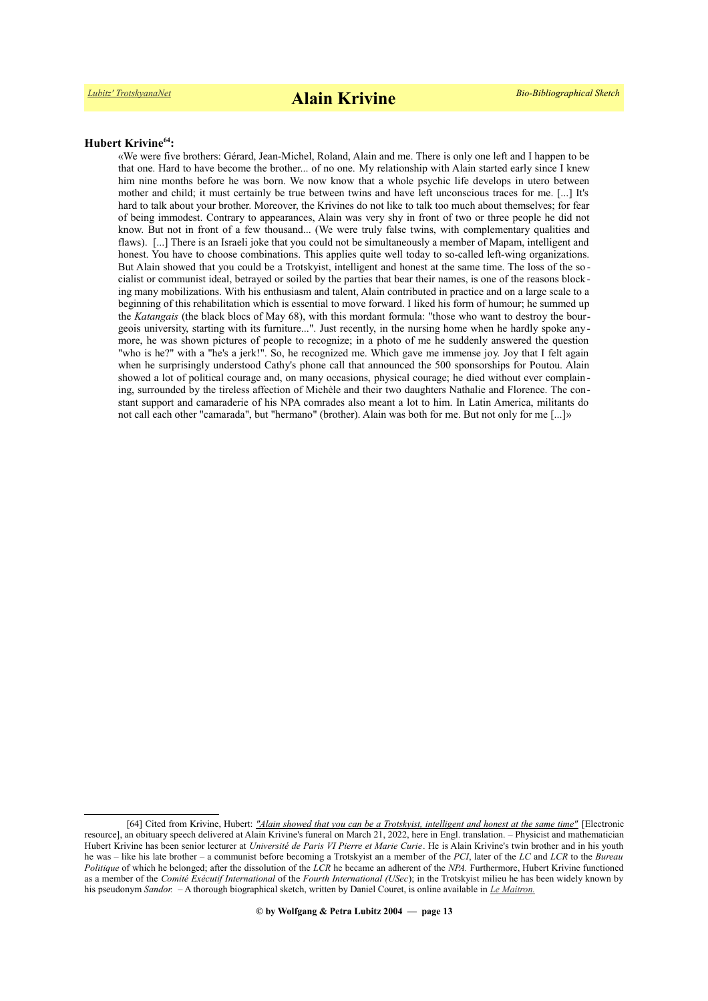#### **Hubert Krivine[64](#page-12-0):**

«We were five brothers: Gérard, Jean-Michel, Roland, Alain and me. There is only one left and I happen to be that one. Hard to have become the brother... of no one. My relationship with Alain started early since I knew him nine months before he was born. We now know that a whole psychic life develops in utero between mother and child; it must certainly be true between twins and have left unconscious traces for me. [...] It's hard to talk about your brother. Moreover, the Krivines do not like to talk too much about themselves; for fear of being immodest. Contrary to appearances, Alain was very shy in front of two or three people he did not know. But not in front of a few thousand... (We were truly false twins, with complementary qualities and flaws). [...] There is an Israeli joke that you could not be simultaneously a member of Mapam, intelligent and honest. You have to choose combinations. This applies quite well today to so-called left-wing organizations. But Alain showed that you could be a Trotskyist, intelligent and honest at the same time. The loss of the so cialist or communist ideal, betrayed or soiled by the parties that bear their names, is one of the reasons blocking many mobilizations. With his enthusiasm and talent, Alain contributed in practice and on a large scale to a beginning of this rehabilitation which is essential to move forward. I liked his form of humour; he summed up the *Katangais* (the black blocs of May 68), with this mordant formula: "those who want to destroy the bourgeois university, starting with its furniture...". Just recently, in the nursing home when he hardly spoke any more, he was shown pictures of people to recognize; in a photo of me he suddenly answered the question "who is he?" with a "he's a jerk!". So, he recognized me. Which gave me immense joy. Joy that I felt again when he surprisingly understood Cathy's phone call that announced the 500 sponsorships for Poutou. Alain showed a lot of political courage and, on many occasions, physical courage; he died without ever complain ing, surrounded by the tireless affection of Michèle and their two daughters Nathalie and Florence. The constant support and camaraderie of his NPA comrades also meant a lot to him. In Latin America, militants do not call each other "camarada", but "hermano" (brother). Alain was both for me. But not only for me [...]»

<span id="page-12-0"></span><sup>[64]</sup> Cited from Krivine, Hubert: *["Alain showed that you can be a Trotskyist, intelligent and honest at the same time"](https://internationalviewpoint.org/spip.php?article7605)* [Electronic resource], an obituary speech delivered at Alain Krivine's funeral on March 21, 2022, here in Engl. translation. – Physicist and mathematician Hubert Krivine has been senior lecturer at *Université de Paris VI Pierre et Marie Curie*. He is Alain Krivine's twin brother and in his youth he was – like his late brother – a communist before becoming a Trotskyist an a member of the *PCI*, later of the *LC* and *LCR* to the *Bureau Politique* of which he belonged; after the dissolution of the *LCR* he became an adherent of the *NPA.* Furthermore, Hubert Krivine functioned as a member of the *Comité Exécutif International* of the *Fourth International (USec*); in the Trotskyist milieu he has been widely known by his pseudonym *Sandor.* – A thorough biographical sketch, written by Daniel Couret, is online available in *[Le Maitron.](https://maitron.fr/spip.php?article137922)*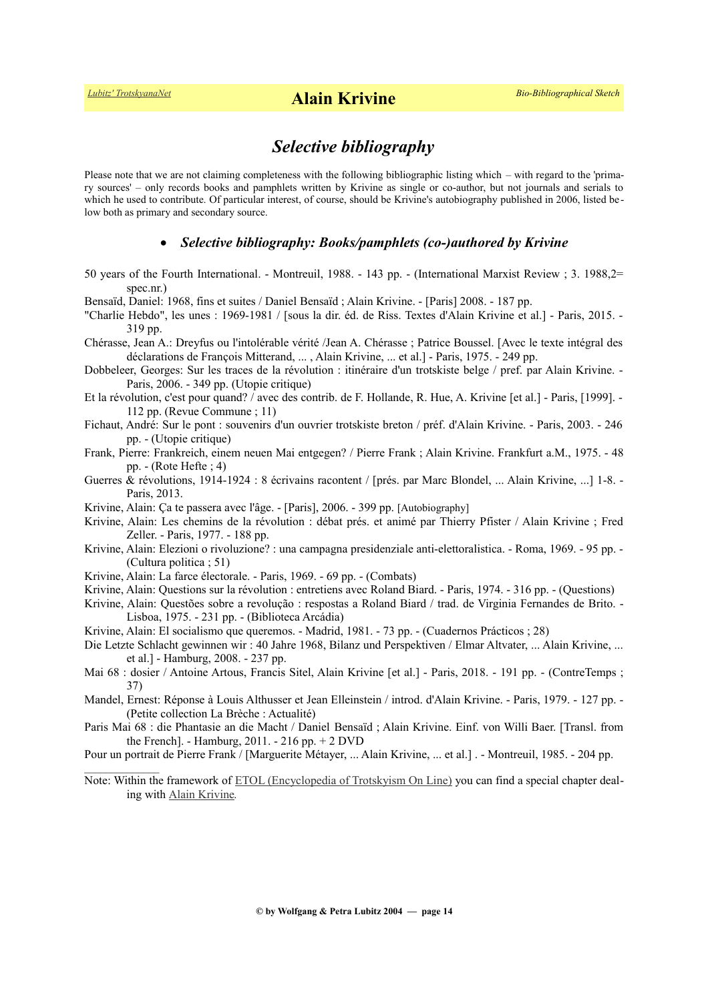$\frac{1}{2}$ 

## *Selective bibliography*

Please note that we are not claiming completeness with the following bibliographic listing which – with regard to the 'primary sources' – only records books and pamphlets written by Krivine as single or co-author, but not journals and serials to which he used to contribute. Of particular interest, of course, should be Krivine's autobiography published in 2006, listed be low both as primary and secondary source.

### *Selective bibliography: Books/pamphlets (co-)authored by Krivine*

- 50 years of the Fourth International. Montreuil, 1988. 143 pp. (International Marxist Review ; 3. 1988,2= spec.nr.)
- Bensaïd, Daniel: 1968, fins et suites / Daniel Bensaïd ; Alain Krivine. [Paris] 2008. 187 pp.
- "Charlie Hebdo", les unes : 1969-1981 / [sous la dir. éd. de Riss. Textes d'Alain Krivine et al.] Paris, 2015. 319 pp.
- Chérasse, Jean A.: Dreyfus ou l'intolérable vérité /Jean A. Chérasse ; Patrice Boussel. [Avec le texte intégral des déclarations de François Mitterand, ... , Alain Krivine, ... et al.] - Paris, 1975. - 249 pp.
- Dobbeleer, Georges: Sur les traces de la révolution : itinéraire d'un trotskiste belge / pref. par Alain Krivine. Paris, 2006. - 349 pp. (Utopie critique)
- Et la révolution, c'est pour quand? / avec des contrib. de F. Hollande, R. Hue, A. Krivine [et al.] Paris, [1999]. 112 pp. (Revue Commune ; 11)
- Fichaut, André: Sur le pont : souvenirs d'un ouvrier trotskiste breton / préf. d'Alain Krivine. Paris, 2003. 246 pp. - (Utopie critique)
- Frank, Pierre: Frankreich, einem neuen Mai entgegen? / Pierre Frank ; Alain Krivine. Frankfurt a.M., 1975. 48 pp. - (Rote Hefte ; 4)
- Guerres & révolutions, 1914-1924 : 8 écrivains racontent / [prés. par Marc Blondel, ... Alain Krivine, ...] 1-8. Paris, 2013.
- Krivine, Alain: Ça te passera avec l'âge. [Paris], 2006. 399 pp. [Autobiography]
- Krivine, Alain: Les chemins de la révolution : débat prés. et animé par Thierry Pfister / Alain Krivine ; Fred Zeller. - Paris, 1977. - 188 pp.
- Krivine, Alain: Elezioni o rivoluzione? : una campagna presidenziale anti-elettoralistica. Roma, 1969. 95 pp. (Cultura politica ; 51)
- Krivine, Alain: La farce électorale. Paris, 1969. 69 pp. (Combats)
- Krivine, Alain: Questions sur la révolution : entretiens avec Roland Biard. Paris, 1974. 316 pp. (Questions)
- Krivine, Alain: Questões sobre a revolução : respostas a Roland Biard / trad. de Virginia Fernandes de Brito. Lisboa, 1975. - 231 pp. - (Biblioteca Arcádia)
- Krivine, Alain: El socialismo que queremos. Madrid, 1981. 73 pp. (Cuadernos Prácticos ; 28)
- Die Letzte Schlacht gewinnen wir : 40 Jahre 1968, Bilanz und Perspektiven / Elmar Altvater, ... Alain Krivine, ... et al.] - Hamburg, 2008. - 237 pp.
- Mai 68 : dosier / Antoine Artous, Francis Sitel, Alain Krivine [et al.] Paris, 2018. 191 pp. (ContreTemps ; 37)
- Mandel, Ernest: Réponse à Louis Althusser et Jean Elleinstein / introd. d'Alain Krivine. Paris, 1979. 127 pp. (Petite collection La Brèche : Actualité)
- Paris Mai 68 : die Phantasie an die Macht / Daniel Bensaïd ; Alain Krivine. Einf. von Willi Baer. [Transl. from the French]. - Hamburg, 2011. - 216 pp. + 2 DVD
- Pour un portrait de Pierre Frank / [Marguerite Métayer, ... Alain Krivine, ... et al.] . Montreuil, 1985. 204 pp.
- Note: Within the framework of [ETOL \(Encyclopedia of Trotskyism On Line\)](https://www.marxists.org/history/etol/index.htm) you can find a special chapter dealing with [Alain Krivine](https://www.marxists.org/history/etol/writers/krivine/index.htm)*.*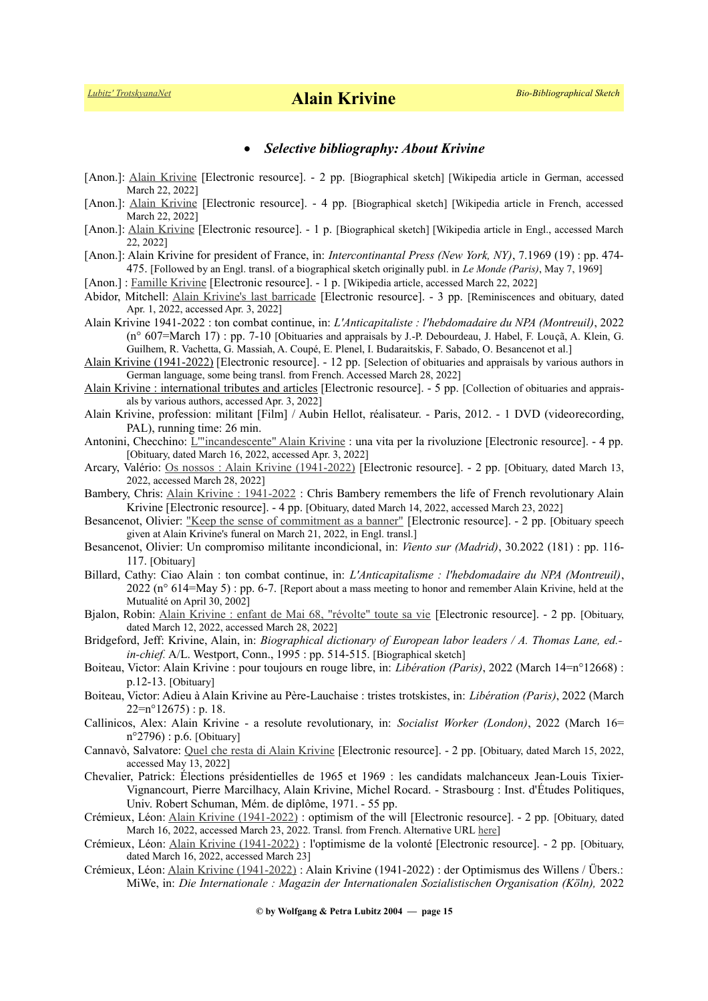## *Selective bibliography: About Krivine*

- [Anon.]: [Alain Krivine](https://de.wikipedia.org/wiki/Alain_Krivine) [Electronic resource]. 2 pp. [Biographical sketch] [Wikipedia article in German, accessed March 22, 2022]
- [Anon.]: [Alain Krivine](https://fr.wikipedia.org/wiki/Alain_Krivine) [Electronic resource]. 4 pp. [Biographical sketch] [Wikipedia article in French, accessed March 22, 2022]
- [Anon.]: [Alain Krivine](https://en.wikipedia.org/wiki/Alain_Krivine) [Electronic resource]. 1 p. [Biographical sketch] [Wikipedia article in Engl., accessed March 22, 2022]
- [Anon.]: Alain Krivine for president of France, in: *Intercontinantal Press (New York, NY)*, 7.1969 (19) : pp. 474- 475. [Followed by an Engl. transl. of a biographical sketch originally publ. in *Le Monde (Paris)*, May 7, 1969]
- [Anon.] : [Famille Krivine](https://wikipedia.org/wiki/Famille_Krivine) [Electronic resource]. 1 p. [Wikipedia article, accessed March 22, 2022]
- Abidor, Mitchell: [Alain Krivine's last barricade](https://tocqueville21.com/le-club/alain-krivines-last-barricade/) [Electronic resource]. 3 pp. [Reminiscences and obituary, dated Apr. 1, 2022, accessed Apr. 3, 2022]
- Alain Krivine 1941-2022 : ton combat continue, in: *L'Anticapitaliste : l'hebdomadaire du NPA (Montreuil)*, 2022 (n° 607=March 17) : pp. 7-10 [Obituaries and appraisals by J.-P. Debourdeau, J. Habel, F. Louçã, A. Klein, G. Guilhem, R. Vachetta, G. Massiah, A. Coupé, E. Plenel, I. Budaraitskis, F. Sabado, O. Besancenot et al.]
- [Alain Krivine \(1941-2022\)](https://intersoz.org/alain-krivine-1941-2022/) [Electronic resource]. 12 pp. [Selection of obituaries and appraisals by various authors in German language, some being transl. from French. Accessed March 28, 2022]
- [Alain Krivine : international tributes and articles](http://www.europe-solidaire.org/spip.php?article61594) [Electronic resource]. 5 pp. [Collection of obituaries and appraisals by various authors, accessed Apr. 3, 2022]
- Alain Krivine, profession: militant [Film] / Aubin Hellot, réalisateur. Paris, 2012. 1 DVD (videorecording, PAL), running time: 26 min.
- Antonini, Checchino: *L*'''incandescente'' Alain Krivine : una vita per la rivoluzione [Electronic resource]. 4 pp. [Obituary, dated March 16, 2022, accessed Apr. 3, 2022]
- Arcary, Valério: [Os nossos : Alain Krivine \(1941-2022\)](https://www.brasil247.com/blog/os-nossos-alain-krivine-1941-2022-5tjb0c14) [Electronic resource]. 2 pp. [Obituary, dated March 13, 2022, accessed March 28, 2022]
- Bambery, Chris: [Alain Krivine : 1941-2022](https://www.counterfire.org/articles/opinion/23052-obituary-alain-krivine-1941-2022) : Chris Bambery remembers the life of French revolutionary Alain Krivine [Electronic resource]. - 4 pp. [Obituary, dated March 14, 2022, accessed March 23, 2022]
- Besancenot, Olivier: ["Keep the sense of commitment as a banner"](file:///E:/HOMEPAGE%20!!!!/Trotskyists/Bio-Bibliographies/odt_aktuell/Krivine,%20Mich%C3%A8le:%20%22To%20hold%20on%20as%20he%20held%20on,%20optimism%20of%20the%20will%20had%20to%20prevail%22%20%5BElec%C2%ADtronic%20re%C2%ADs%C2%ADource%5D.%20-%202%20pp.%20%5BObituary%20speech%20given%20at%20Alain%20Krivine) [Electronic resource]. 2 pp. [Obituary speech given at Alain Krivine's funeral on March 21, 2022, in Engl. transl.]
- Besancenot, Olivier: Un compromiso militante incondicional, in: *Viento sur (Madrid)*, 30.2022 (181) : pp. 116- 117. [Obituary]
- Billard, Cathy: Ciao Alain : ton combat continue, in: *L'Anticapitalisme : l'hebdomadaire du NPA (Montreuil)*, 2022 (n° 614=May 5) : pp. 6-7. [Report about a mass meeting to honor and remember Alain Krivine, held at the Mutualité on April 30, 2002]
- Bjalon, Robin: [Alain Krivine : enfant de Mai 68, "révolte" toute sa vie](https://www.lalibre.be/dernieres-depeches/afp/2022/03/12/alain-krivine-enfant-de-mai-68-revolte-toute-sa-vie-2U4E7H2C2BGXTOMJKP6U6K5GE4/) [Electronic resource]. 2 pp. [Obituary, dated March 12, 2022, accessed March 28, 2022]
- Bridgeford, Jeff: Krivine, Alain, in: *Biographical dictionary of European labor leaders / A. Thomas Lane, ed. in-chief.* A/L. Westport, Conn., 1995 : pp. 514-515. [Biographical sketch]
- Boiteau, Victor: Alain Krivine : pour toujours en rouge libre, in: *Libération (Paris)*, 2022 (March 14=n°12668) : p.12-13. [Obituary]
- Boiteau, Victor: Adieu à Alain Krivine au Père-Lauchaise : tristes trotskistes, in: *Libération (Paris)*, 2022 (March  $22=n^{\circ}12675$  : p. 18.
- Callinicos, Alex: Alain Krivine a resolute revolutionary, in: *Socialist Worker (London)*, 2022 (March 16= n°2796) : p.6. [Obituary]
- Cannavò, Salvatore: [Quel che resta di Alain Krivine](https://jacobinitalia.it/quel-che-resta-di-alain-krivine/) [Electronic resource]. 2 pp. [Obituary, dated March 15, 2022, accessed May 13, 2022]
- Chevalier, Patrick: Élections présidentielles de 1965 et 1969 : les candidats malchanceux Jean-Louis Tixier-Vignancourt, Pierre Marcilhacy, Alain Krivine, Michel Rocard. - Strasbourg : Inst. d'Études Politiques, Univ. Robert Schuman, Mém. de diplôme, 1971. - 55 pp.
- Crémieux, Léon: [Alain Krivine \(1941-2022\)](file:///E:/HOMEPAGE%20!!!!/Trotskyists/Bio-Bibliographies/odt_aktuell/http:%2F%2F%2Flinks.org.au%2Falain-krivine-1941-2022-optimism%20of%20the%20will) : optimism of the will [Electronic resource]. 2 pp. [Obituary, dated March 16, 2022, accessed March 23, 2022. Transl. from French. Alternative URL [here\]](https://fourth.international/en/europe/429)
- Crémieux, Léon: [Alain Krivine \(1941-2022\)](https://www.gaucheanticapitaliste.org/alain-krivine-1941-2022-loptimisme-de-la-volonte/) : l'optimisme de la volonté [Electronic resource]. 2 pp. [Obituary, dated March 16, 2022, accessed March 23]
- Crémieux, Léon: [Alain Krivine \(1941-2022\)](file:///E:/HOMEPAGE%20!!!!/Trotskyists/Bio-Bibliographies/odt_aktuell/http:%2F%2F%2Flinks.org.au%2Falain-krivine-1941-2022-optimism%20of%20the%20will) : Alain Krivine (1941-2022) : der Optimismus des Willens / Übers.: MiWe, in: *Die Internationale : Magazin der Internationalen Sozialistischen Organisation (Köln),* 2022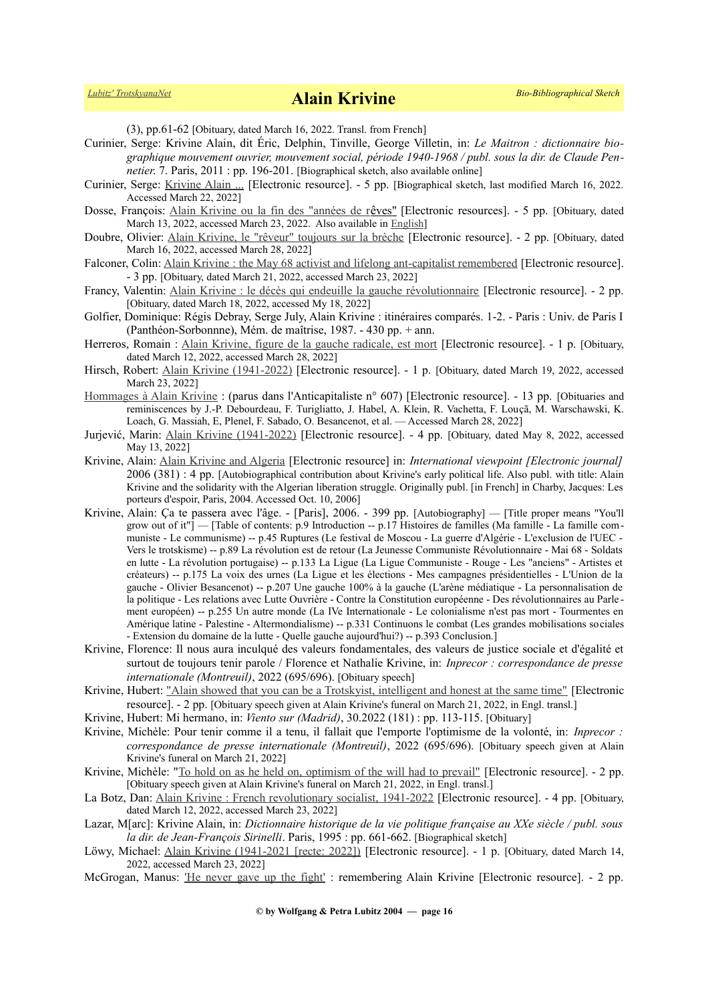(3), pp.61-62 [Obituary, dated March 16, 2022. Transl. from French]

- Curinier, Serge: Krivine Alain, dit Éric, Delphin, Tinville, George Villetin, in: *Le Maitron : dictionnaire biographique mouvement ouvrier, mouvement social, période 1940-1968 / publ. sous la dir. de Claude Pennetier*. 7. Paris, 2011 : pp. 196-201. [Biographical sketch, also available online]
- Curinier, Serge: [Krivine Alain ...](https://maitron.fr/spip.php?article136624) [Electronic resource]. 5 pp. [Biographical sketch, last modified March 16, 2022. Accessed March 22, 2022]
- Dosse, François: [Alain Krivine ou la fin des "années de r](https://www.nouvelobs.com/idees/20220313.OBS55611/alain-krivine-ou-la-fin-des-annees-de-reves-par-francois-dosse.html)[ê](https://www.nouvelobs.com/idees/20220313.OBS55611/alain-krivine-ou-la-fin-des-annees-de-reves-par-francois-dosse.html)[ves"](https://www.nouvelobs.com/idees/20220313.OBS55611/alain-krivine-ou-la-fin-des-annees-de-reves-par-francois-dosse.html) [Electronic resources]. 5 pp. [Obituary, dated March 13, 2022, accessed March 23, 2022. Also available in [English\]](https://california18.com/alain-krivine-or-the-end-of-the-years-of-dreams-by-francois-dosse/3872632022/)
- Doubre, Olivier: [Alain Krivine, le "rêveur" toujours sur la brèche](https://www.politis.fr/articles/2022/03/alain-krivine-le-reveur-toujours-sur-la-breche-44196/) [Electronic resource]. 2 pp. [Obituary, dated March 16, 2022, accessed March 28, 2022]
- Falconer, Colin: <u>Alain Krivine : the May 68 activist and lifelong ant-capitalist remembered</u> [Electronic resource]. - 3 pp. [Obituary, dated March 21, 2022, accessed March 23, 2022]
- Francy, Valentin: [Alain Krivine : le décès qui endeuille la gauche révolutionnaire](https://www.csactu.fr/alain-krivine-le-deces-qui-endeuille-la-gauche-revolutionnaire/) [Electronic resource]. 2 pp. [Obituary, dated March 18, 2022, accessed My 18, 2022]
- Golfier, Dominique: Régis Debray, Serge July, Alain Krivine : itinéraires comparés. 1-2. Paris : Univ. de Paris I (Panthéon-Sorbonnne), Mém. de maîtrise, 1987. - 430 pp. + ann.
- Herreros, Romain : [Alain Krivine, figure de la gauche radicale, est mort](file:///E:/HOMEPAGE%20!!!!/Trotskyists/Bio-Bibliographies/odt_aktuell/Hirsch,%20Robert:%20Alain%20Krivine%20(1941-2022)%20%5BElectronic%20resource%5D.%20-%201%20p.%20%5BObituary,%20dated%20March%2019,%202022,%20accessed%20March%2023,%202022%5D) [Electronic resource]. 1 p. [Obituary, dated March 12, 2022, accessed March 28, 2022]
- Hirsch, Robert: [Alain Krivine \(1941-2022\)](https://www.ecoleemancipee.org/Alain-Krivine-1941-2022) [Electronic resource]. 1 p. [Obituary, dated March 19, 2022, accessed March 23, 2022]
- [Hommages à Alain Krivine](https://lanticapitaliste.org/opinions/politique/hommages-alain-krivine-parus-dans-lanticapitaliste-ndeg-607) : (parus dans l'Anticapitaliste n° 607) [Electronic resource]. 13 pp. [Obituaries and reminiscences by J.-P. Debourdeau, F. Turigliatto, J. Habel, A. Klein, R. Vachetta, F. Louçã, M. Warschawski, K. Loach, G. Massiah, E, Plenel, F. Sabado, O. Besancenot, et al. — Accessed March 28, 2022]
- Jurjević, Marin: [Alain Krivine \(1941-2022\)](https://blog.dnevnik.hr/marinjurjevic/2022/05/1632374155/alain-krivine-19412022.html) [Electronic resource]. 4 pp. [Obituary, dated May 8, 2022, accessed May 13, 2022]
- Krivine, Alain: [Alain Krivine and Algeria](http://www.internationalviewpoint.org/spip.php?article1126) [Electronic resource] in: *International viewpoint [Electronic journal]* 2006 (381) : 4 pp. [Autobiographical contribution about Krivine's early political life. Also publ. with title: Alain Krivine and the solidarity with the Algerian liberation struggle. Originally publ. [in French] in Charby, Jacques: Les porteurs d'espoir, Paris, 2004. Accessed Oct. 10, 2006]
- Krivine, Alain: Ça te passera avec l'âge. [Paris], 2006. 399 pp. [Autobiography] [Title proper means "You'll grow out of it"] — [Table of contents: p.9 Introduction -- p.17 Histoires de familles (Ma famille - La famille communiste - Le communisme) -- p.45 Ruptures (Le festival de Moscou - La guerre d'Algérie - L'exclusion de l'UEC - Vers le trotskisme) -- p.89 La révolution est de retour (La Jeunesse Communiste Révolutionnaire - Mai 68 - Soldats en lutte - La révolution portugaise) -- p.133 La Ligue (La Ligue Communiste - Rouge - Les "anciens" - Artistes et créateurs) -- p.175 La voix des urnes (La Ligue et les élections - Mes campagnes présidentielles - L'Union de la gauche - Olivier Besancenot) -- p.207 Une gauche 100% à la gauche (L'arène médiatique - La personnalisation de la politique - Les relations avec Lutte Ouvrière - Contre la Constitution européenne - Des révolutionnaires au Parle ment européen) -- p.255 Un autre monde (La IVe Internationale - Le colonialisme n'est pas mort - Tourmentes en Amérique latine - Palestine - Altermondialisme) -- p.331 Continuons le combat (Les grandes mobilisations sociales - Extension du domaine de la lutte - Quelle gauche aujourd'hui?) -- p.393 Conclusion.]
- Krivine, Florence: Il nous aura inculqué des valeurs fondamentales, des valeurs de justice sociale et d'égalité et surtout de toujours tenir parole / Florence et Nathalie Krivine, in: *Inprecor : correspondance de presse internationale (Montreuil)*, 2022 (695/696). [Obituary speech]
- Krivine, Hubert: ["Alain showed that you can be a Trotskyist, intelligent and honest at the same time"](https://internationalviewpoint.org/spip.php?article7605) [Electronic resource]. - 2 pp. [Obituary speech given at Alain Krivine's funeral on March 21, 2022, in Engl. transl.]
- Krivine, Hubert: Mi hermano, in: *Viento sur (Madrid)*, 30.2022 (181) : pp. 113-115. [Obituary]
- Krivine, Michèle: Pour tenir comme il a tenu, il fallait que l'emporte l'optimisme de la volonté, in: *Inprecor : correspondance de presse internationale (Montreuil)*, 2022 (695/696). [Obituary speech given at Alain Krivine's funeral on March 21, 2022]
- Krivine, Michèle: "<u>To hold on as he held on, optimism of the will had to prevail"</u> [Electronic resource]. 2 pp. [Obituary speech given at Alain Krivine's funeral on March 21, 2022, in Engl. transl.]
- La Botz, Dan: [Alain Krivine : French revolutionary socialist, 1941-2022](https://newpol.org/alain-krivine-french-revolutionary-socialist-1941-2022/) [Electronic resource]. 4 pp. [Obituary, dated March 12, 2022, accessed March 23, 2022]
- Lazar, M[arc]: Krivine Alain, in: *Dictionnaire historique de la vie politique française au XXe siècle / publ. sous la dir. de Jean-François Sirinelli*. Paris, 1995 : pp. 661-662. [Biographical sketch]
- Löwy, Michael: [Alain Krivine \(1941-2021 \[recte: 2022\]\)](http://www.globalecosocialistnetwork.net/2022/03/14/alain-krivine-1941-2021/) [Electronic resource]. 1 p. [Obituary, dated March 14, 2022, accessed March 23, 2022]
- McGrogan, Manus: ['He never gave up the fight'](https://www.rs21.org.uk/2022/03/22/he-never-gave-up-the-fight-remembering-alain-krivine/) : remembering Alain Krivine [Electronic resource]. 2 pp.